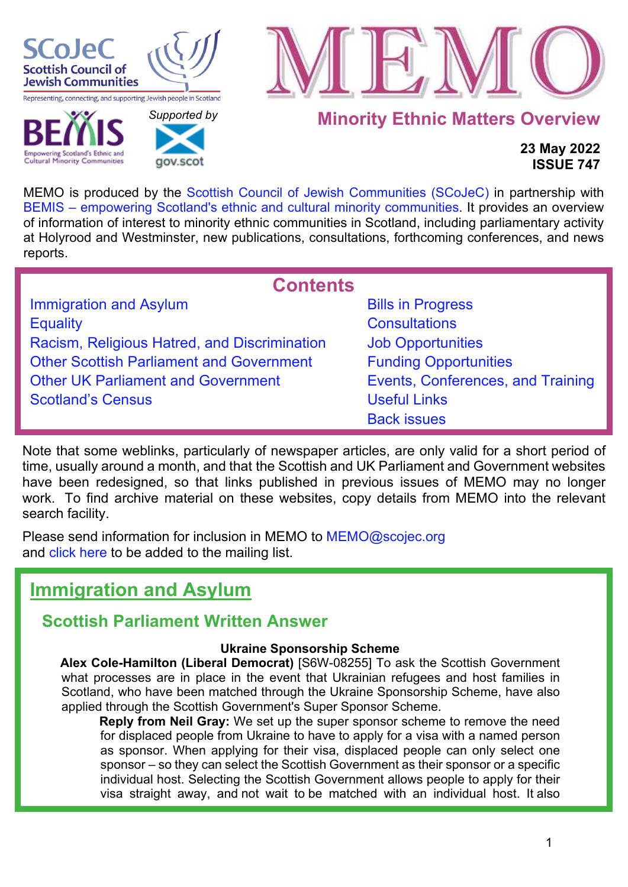

**Cultural Minority Communities** 

 *[Supported b](http://www.gov.scot/)y* 

gov.scot



**Minority Ethnic Matters Overview**

### **23 May 2022 ISSUE 747**

MEMO is produced by the [Scottish Council of Jewish Communities \(SCoJeC\)](https://www.scojec.org/index.html) in partnership with [BEMIS – empowering Scotland's ethnic and cultural minority communities.](https://bemis.org.uk/) It provides an overview of information of interest to minority ethnic communities in Scotland, including parliamentary activity at Holyrood and Westminster, new publications, consultations, forthcoming conferences, and news reports.

<span id="page-0-1"></span>

| <b>Contents</b>                                 |                                   |  |  |  |
|-------------------------------------------------|-----------------------------------|--|--|--|
| Immigration and Asylum                          | <b>Bills in Progress</b>          |  |  |  |
| <b>Equality</b>                                 | <b>Consultations</b>              |  |  |  |
| Racism, Religious Hatred, and Discrimination    | <b>Job Opportunities</b>          |  |  |  |
| <b>Other Scottish Parliament and Government</b> | <b>Funding Opportunities</b>      |  |  |  |
| <b>Other UK Parliament and Government</b>       | Events, Conferences, and Training |  |  |  |
| <b>Scotland's Census</b>                        | <b>Useful Links</b>               |  |  |  |
|                                                 | <b>Back issues</b>                |  |  |  |

Note that some weblinks, particularly of newspaper articles, are only valid for a short period of time, usually around a month, and that the Scottish and UK Parliament and Government websites have been redesigned, so that links published in previous issues of MEMO may no longer work. To find archive material on these websites, copy details from MEMO into the relevant search facility.

Please send information for inclusion in MEMO to MEMO@scojec.org and [click here](https://www.scojec.org/memo/subscribe/subscribe.html) to be added to the mailing list.

# <span id="page-0-0"></span>**Immigration and Asylum**

### **Scottish Parliament Written Answer**

### **Ukraine Sponsorship Scheme**

**Alex Cole-Hamilton (Liberal Democrat)** [S6W-08255] To ask the Scottish Government what processes are in place in the event that Ukrainian refugees and host families in Scotland, who have been matched through the Ukraine Sponsorship Scheme, have also applied through the Scottish Government's Super Sponsor Scheme.

**Reply from Neil Gray:** We set up the super sponsor scheme to remove the need for displaced people from Ukraine to have to apply for a visa with a named person as sponsor. When applying for their visa, displaced people can only select one sponsor – so they can select the Scottish Government as their sponsor or a specific individual host. Selecting the Scottish Government allows people to apply for their visa straight away, and not wait to be matched with an individual host. It also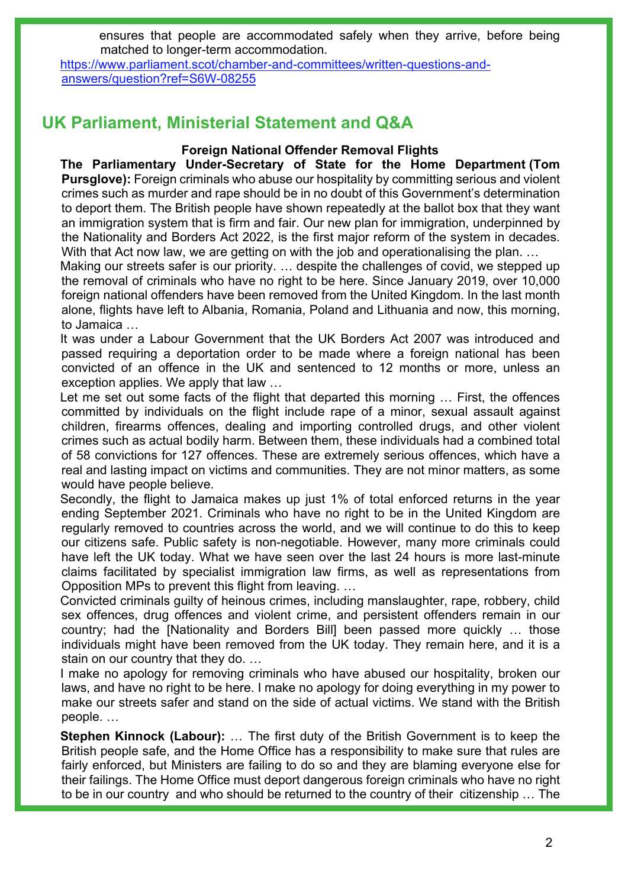ensures that people are accommodated safely when they arrive, before being matched to longer-term accommodation.

[https://www.parliament.scot/chamber-and-committees/written-questions-and](https://www.parliament.scot/chamber-and-committees/written-questions-and-answers/question?ref=S6W-08255)[answers/question?ref=S6W-08255](https://www.parliament.scot/chamber-and-committees/written-questions-and-answers/question?ref=S6W-08255) 

### **UK Parliament, Ministerial Statement and Q&A**

### **Foreign National Offender Removal Flights**

**The Parliamentary Under-Secretary of State for the Home Department (Tom Pursglove):** Foreign criminals who abuse our hospitality by committing serious and violent crimes such as murder and rape should be in no doubt of this Government's determination to deport them. The British people have shown repeatedly at the ballot box that they want an immigration system that is firm and fair. Our new plan for immigration, underpinned by the Nationality and Borders Act 2022, is the first major reform of the system in decades. With that Act now law, we are getting on with the job and operationalising the plan. ...

Making our streets safer is our priority. … despite the challenges of covid, we stepped up the removal of criminals who have no right to be here. Since January 2019, over 10,000 foreign national offenders have been removed from the United Kingdom. In the last month alone, flights have left to Albania, Romania, Poland and Lithuania and now, this morning, to Jamaica …

It was under a Labour Government that the UK Borders Act 2007 was introduced and passed requiring a deportation order to be made where a foreign national has been convicted of an offence in the UK and sentenced to 12 months or more, unless an exception applies. We apply that law …

Let me set out some facts of the flight that departed this morning ... First, the offences committed by individuals on the flight include rape of a minor, sexual assault against children, firearms offences, dealing and importing controlled drugs, and other violent crimes such as actual bodily harm. Between them, these individuals had a combined total of 58 convictions for 127 offences. These are extremely serious offences, which have a real and lasting impact on victims and communities. They are not minor matters, as some would have people believe.

Secondly, the flight to Jamaica makes up just 1% of total enforced returns in the year ending September 2021. Criminals who have no right to be in the United Kingdom are regularly removed to countries across the world, and we will continue to do this to keep our citizens safe. Public safety is non-negotiable. However, many more criminals could have left the UK today. What we have seen over the last 24 hours is more last-minute claims facilitated by specialist immigration law firms, as well as representations from Opposition MPs to prevent this flight from leaving. …

Convicted criminals guilty of heinous crimes, including manslaughter, rape, robbery, child sex offences, drug offences and violent crime, and persistent offenders remain in our country; had the [Nationality and Borders Bill] been passed more quickly … those individuals might have been removed from the UK today. They remain here, and it is a stain on our country that they do. …

I make no apology for removing criminals who have abused our hospitality, broken our laws, and have no right to be here. I make no apology for doing everything in my power to make our streets safer and stand on the side of actual victims. We stand with the British people. …

**Stephen Kinnock (Labour):** … The first duty of the British Government is to keep the British people safe, and the Home Office has a responsibility to make sure that rules are fairly enforced, but Ministers are failing to do so and they are blaming everyone else for their failings. The Home Office must deport dangerous foreign criminals who have no right to be in our country and who should be returned to the country of their citizenship … The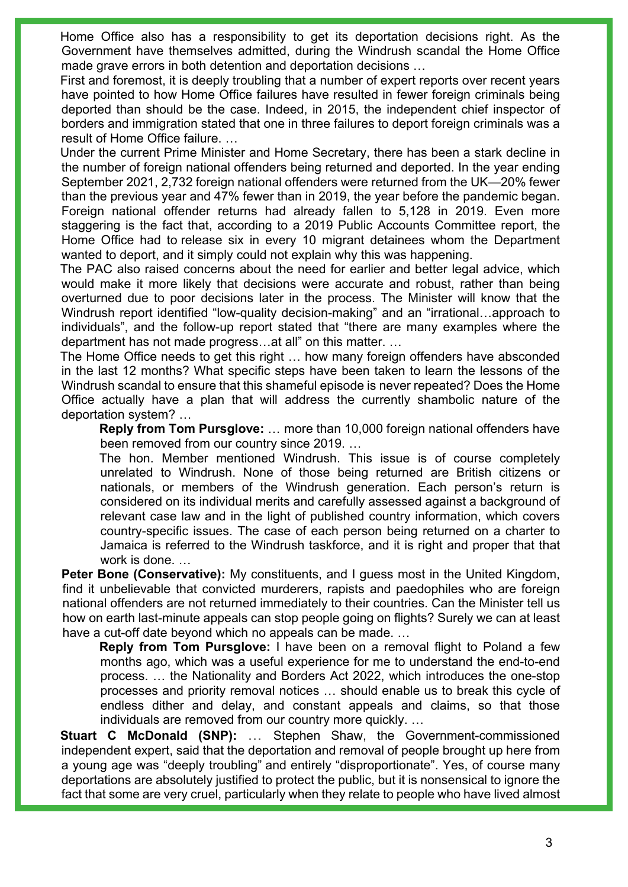Home Office also has a responsibility to get its deportation decisions right. As the Government have themselves admitted, during the Windrush scandal the Home Office made grave errors in both detention and deportation decisions …

First and foremost, it is deeply troubling that a number of expert reports over recent years have pointed to how Home Office failures have resulted in fewer foreign criminals being deported than should be the case. Indeed, in 2015, the independent chief inspector of borders and immigration stated that one in three failures to deport foreign criminals was a result of Home Office failure. …

Under the current Prime Minister and Home Secretary, there has been a stark decline in the number of foreign national offenders being returned and deported. In the year ending September 2021, 2,732 foreign national offenders were returned from the UK—20% fewer than the previous year and 47% fewer than in 2019, the year before the pandemic began. Foreign national offender returns had already fallen to 5,128 in 2019. Even more staggering is the fact that, according to a 2019 Public Accounts Committee report, the Home Office had to release six in every 10 migrant detainees whom the Department wanted to deport, and it simply could not explain why this was happening.

The PAC also raised concerns about the need for earlier and better legal advice, which would make it more likely that decisions were accurate and robust, rather than being overturned due to poor decisions later in the process. The Minister will know that the Windrush report identified "low-quality decision-making" and an "irrational…approach to individuals", and the follow-up report stated that "there are many examples where the department has not made progress…at all" on this matter. …

The Home Office needs to get this right … how many foreign offenders have absconded in the last 12 months? What specific steps have been taken to learn the lessons of the Windrush scandal to ensure that this shameful episode is never repeated? Does the Home Office actually have a plan that will address the currently shambolic nature of the deportation system? …

**Reply from Tom Pursglove:** … more than 10,000 foreign national offenders have been removed from our country since 2019. …

The hon. Member mentioned Windrush. This issue is of course completely unrelated to Windrush. None of those being returned are British citizens or nationals, or members of the Windrush generation. Each person's return is considered on its individual merits and carefully assessed against a background of relevant case law and in the light of published country information, which covers country-specific issues. The case of each person being returned on a charter to Jamaica is referred to the Windrush taskforce, and it is right and proper that that work is done. …

**Peter Bone (Conservative):** My constituents, and I guess most in the United Kingdom, find it unbelievable that convicted murderers, rapists and paedophiles who are foreign national offenders are not returned immediately to their countries. Can the Minister tell us how on earth last-minute appeals can stop people going on flights? Surely we can at least have a cut-off date beyond which no appeals can be made. …

**Reply from Tom Pursglove:** I have been on a removal flight to Poland a few months ago, which was a useful experience for me to understand the end-to-end process. … the Nationality and Borders Act 2022, which introduces the one-stop processes and priority removal notices … should enable us to break this cycle of endless dither and delay, and constant appeals and claims, so that those individuals are removed from our country more quickly. …

**Stuart C McDonald (SNP):** … Stephen Shaw, the Government-commissioned independent expert, said that the deportation and removal of people brought up here from a young age was "deeply troubling" and entirely "disproportionate". Yes, of course many deportations are absolutely justified to protect the public, but it is nonsensical to ignore the fact that some are very cruel, particularly when they relate to people who have lived almost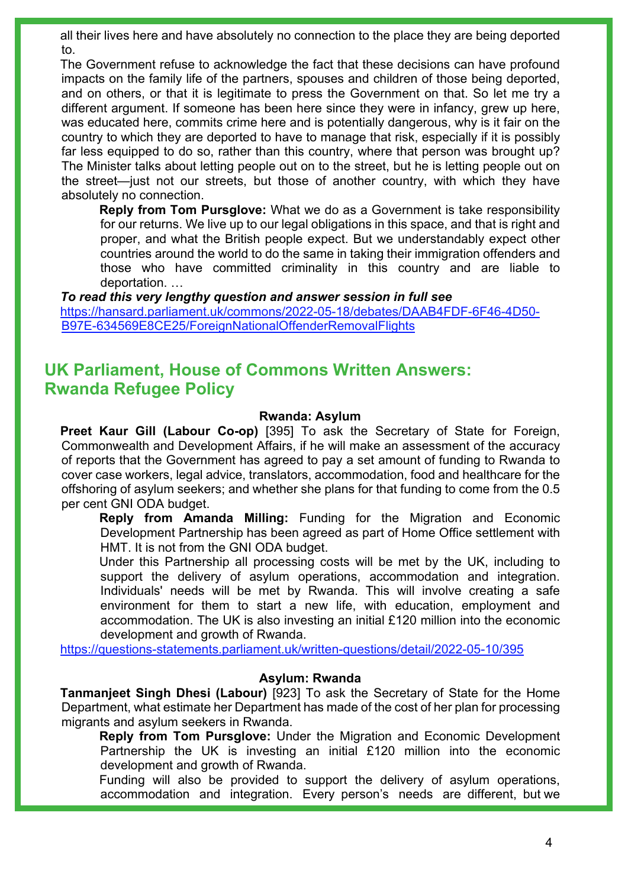all their lives here and have absolutely no connection to the place they are being deported to.

The Government refuse to acknowledge the fact that these decisions can have profound impacts on the family life of the partners, spouses and children of those being deported, and on others, or that it is legitimate to press the Government on that. So let me try a different argument. If someone has been here since they were in infancy, grew up here, was educated here, commits crime here and is potentially dangerous, why is it fair on the country to which they are deported to have to manage that risk, especially if it is possibly far less equipped to do so, rather than this country, where that person was brought up? The Minister talks about letting people out on to the street, but he is letting people out on the street—just not our streets, but those of another country, with which they have absolutely no connection.

**Reply from Tom Pursglove:** What we do as a Government is take responsibility for our returns. We live up to our legal obligations in this space, and that is right and proper, and what the British people expect. But we understandably expect other countries around the world to do the same in taking their immigration offenders and those who have committed criminality in this country and are liable to deportation. …

*To read this very lengthy question and answer session in full see* [https://hansard.parliament.uk/commons/2022-05-18/debates/DAAB4FDF-6F46-4D50-](https://hansard.parliament.uk/commons/2022-05-18/debates/DAAB4FDF-6F46-4D50-B97E-634569E8CE25/ForeignNationalOffenderRemovalFlights) [B97E-634569E8CE25/ForeignNationalOffenderRemovalFlights](https://hansard.parliament.uk/commons/2022-05-18/debates/DAAB4FDF-6F46-4D50-B97E-634569E8CE25/ForeignNationalOffenderRemovalFlights) 

### **UK Parliament, House of Commons Written Answers: Rwanda Refugee Policy**

#### **Rwanda: Asylum**

**Preet Kaur Gill (Labour Co-op)** [395] To ask the Secretary of State for Foreign, Commonwealth and Development Affairs, if he will make an assessment of the accuracy of reports that the Government has agreed to pay a set amount of funding to Rwanda to cover case workers, legal advice, translators, accommodation, food and healthcare for the offshoring of asylum seekers; and whether she plans for that funding to come from the 0.5 per cent GNI ODA budget.

**Reply from Amanda Milling:** Funding for the Migration and Economic Development Partnership has been agreed as part of Home Office settlement with HMT. It is not from the GNI ODA budget.

Under this Partnership all processing costs will be met by the UK, including to support the delivery of asylum operations, accommodation and integration. Individuals' needs will be met by Rwanda. This will involve creating a safe environment for them to start a new life, with education, employment and accommodation. The UK is also investing an initial £120 million into the economic development and growth of Rwanda.

<https://questions-statements.parliament.uk/written-questions/detail/2022-05-10/395>

#### **Asylum: Rwanda**

**Tanmanjeet Singh Dhesi (Labour)** [923] To ask the Secretary of State for the Home Department, what estimate her Department has made of the cost of her plan for processing migrants and asylum seekers in Rwanda.

**Reply from Tom Pursglove:** Under the Migration and Economic Development Partnership the UK is investing an initial £120 million into the economic development and growth of Rwanda.

Funding will also be provided to support the delivery of asylum operations, accommodation and integration. Every person's needs are different, but we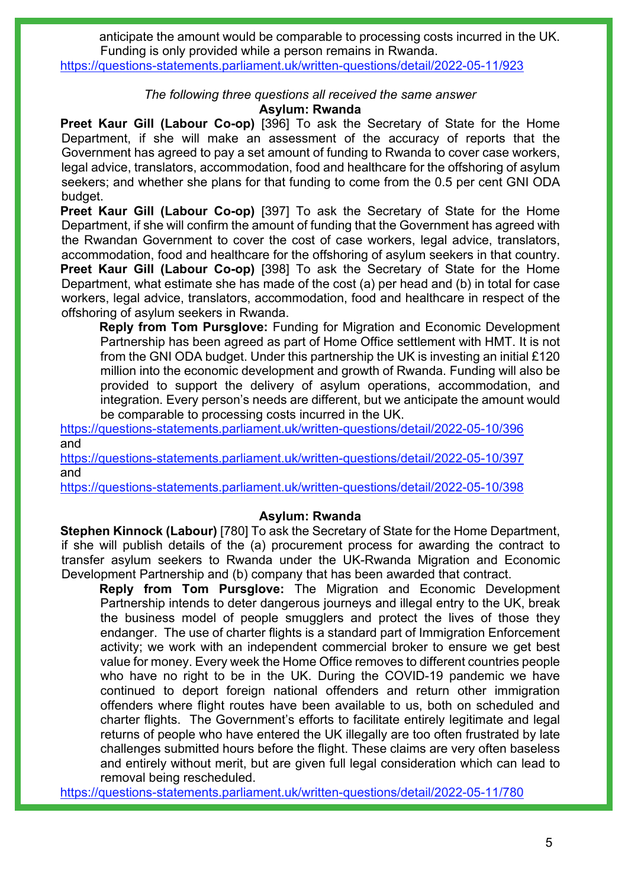anticipate the amount would be comparable to processing costs incurred in the UK. Funding is only provided while a person remains in Rwanda.

<https://questions-statements.parliament.uk/written-questions/detail/2022-05-11/923>

#### *The following three questions all received the same answer*

#### **Asylum: Rwanda**

**Preet Kaur Gill (Labour Co-op)** [396] To ask the Secretary of State for the Home Department, if she will make an assessment of the accuracy of reports that the Government has agreed to pay a set amount of funding to Rwanda to cover case workers, legal advice, translators, accommodation, food and healthcare for the offshoring of asylum seekers; and whether she plans for that funding to come from the 0.5 per cent GNI ODA budget.

**Preet Kaur Gill (Labour Co-op)** [397] To ask the Secretary of State for the Home Department, if she will confirm the amount of funding that the Government has agreed with the Rwandan Government to cover the cost of case workers, legal advice, translators, accommodation, food and healthcare for the offshoring of asylum seekers in that country. **Preet Kaur Gill (Labour Co-op)** [398] To ask the Secretary of State for the Home Department, what estimate she has made of the cost (a) per head and (b) in total for case workers, legal advice, translators, accommodation, food and healthcare in respect of the offshoring of asylum seekers in Rwanda.

**Reply from Tom Pursglove:** Funding for Migration and Economic Development Partnership has been agreed as part of Home Office settlement with HMT. It is not from the GNI ODA budget. Under this partnership the UK is investing an initial £120 million into the economic development and growth of Rwanda. Funding will also be provided to support the delivery of asylum operations, accommodation, and integration. Every person's needs are different, but we anticipate the amount would be comparable to processing costs incurred in the UK.

<https://questions-statements.parliament.uk/written-questions/detail/2022-05-10/396> and

<https://questions-statements.parliament.uk/written-questions/detail/2022-05-10/397> and

<https://questions-statements.parliament.uk/written-questions/detail/2022-05-10/398>

#### **Asylum: Rwanda**

**Stephen Kinnock (Labour)** [780] To ask the Secretary of State for the Home Department, if she will publish details of the (a) procurement process for awarding the contract to transfer asylum seekers to Rwanda under the UK-Rwanda Migration and Economic Development Partnership and (b) company that has been awarded that contract.

**Reply from Tom Pursglove:** The Migration and Economic Development Partnership intends to deter dangerous journeys and illegal entry to the UK, break the business model of people smugglers and protect the lives of those they endanger. The use of charter flights is a standard part of Immigration Enforcement activity; we work with an independent commercial broker to ensure we get best value for money. Every week the Home Office removes to different countries people who have no right to be in the UK. During the COVID-19 pandemic we have continued to deport foreign national offenders and return other immigration offenders where flight routes have been available to us, both on scheduled and charter flights. The Government's efforts to facilitate entirely legitimate and legal returns of people who have entered the UK illegally are too often frustrated by late challenges submitted hours before the flight. These claims are very often baseless and entirely without merit, but are given full legal consideration which can lead to removal being rescheduled.

<https://questions-statements.parliament.uk/written-questions/detail/2022-05-11/780>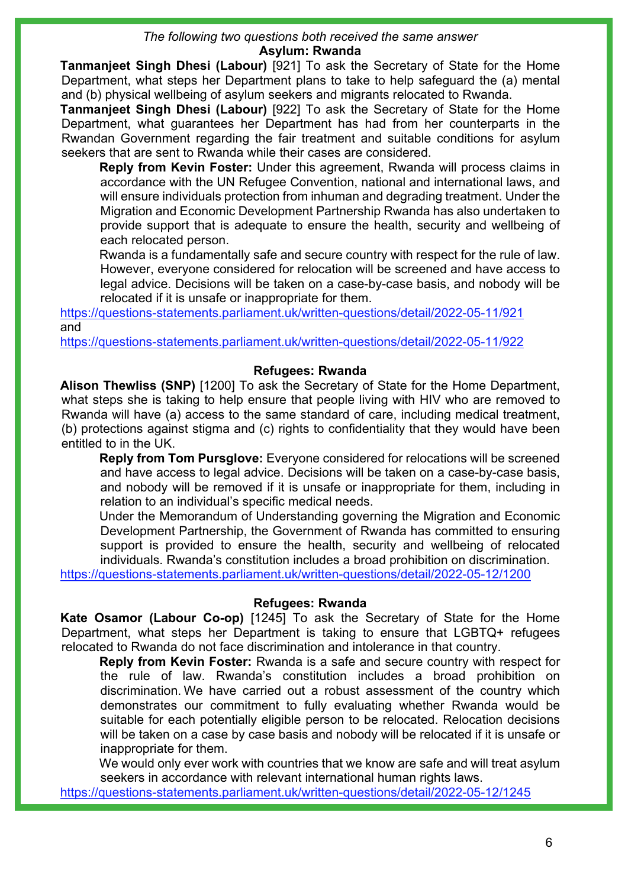#### *The following two questions both received the same answer* **Asylum: Rwanda**

**Tanmanjeet Singh Dhesi (Labour)** [921] To ask the Secretary of State for the Home Department, what steps her Department plans to take to help safeguard the (a) mental and (b) physical wellbeing of asylum seekers and migrants relocated to Rwanda.

**Tanmanjeet Singh Dhesi (Labour)** [922] To ask the Secretary of State for the Home Department, what guarantees her Department has had from her counterparts in the Rwandan Government regarding the fair treatment and suitable conditions for asylum seekers that are sent to Rwanda while their cases are considered.

**Reply from Kevin Foster:** Under this agreement, Rwanda will process claims in accordance with the UN Refugee Convention, national and international laws, and will ensure individuals protection from inhuman and degrading treatment. Under the Migration and Economic Development Partnership Rwanda has also undertaken to provide support that is adequate to ensure the health, security and wellbeing of each relocated person.

Rwanda is a fundamentally safe and secure country with respect for the rule of law. However, everyone considered for relocation will be screened and have access to legal advice. Decisions will be taken on a case-by-case basis, and nobody will be relocated if it is unsafe or inappropriate for them.

<https://questions-statements.parliament.uk/written-questions/detail/2022-05-11/921> and

<https://questions-statements.parliament.uk/written-questions/detail/2022-05-11/922>

### **Refugees: Rwanda**

**Alison Thewliss (SNP)** [1200] To ask the Secretary of State for the Home Department, what steps she is taking to help ensure that people living with HIV who are removed to Rwanda will have (a) access to the same standard of care, including medical treatment, (b) protections against stigma and (c) rights to confidentiality that they would have been entitled to in the UK.

**Reply from Tom Pursglove:** Everyone considered for relocations will be screened and have access to legal advice. Decisions will be taken on a case-by-case basis, and nobody will be removed if it is unsafe or inappropriate for them, including in relation to an individual's specific medical needs.

Under the Memorandum of Understanding governing the Migration and Economic Development Partnership, the Government of Rwanda has committed to ensuring support is provided to ensure the health, security and wellbeing of relocated individuals. Rwanda's constitution includes a broad prohibition on discrimination.

<https://questions-statements.parliament.uk/written-questions/detail/2022-05-12/1200>

### **Refugees: Rwanda**

**Kate Osamor (Labour Co-op)** [1245] To ask the Secretary of State for the Home Department, what steps her Department is taking to ensure that LGBTQ+ refugees relocated to Rwanda do not face discrimination and intolerance in that country.

**Reply from Kevin Foster:** Rwanda is a safe and secure country with respect for the rule of law. Rwanda's constitution includes a broad prohibition on discrimination. We have carried out a robust assessment of the country which demonstrates our commitment to fully evaluating whether Rwanda would be suitable for each potentially eligible person to be relocated. Relocation decisions will be taken on a case by case basis and nobody will be relocated if it is unsafe or inappropriate for them.

We would only ever work with countries that we know are safe and will treat asylum seekers in accordance with relevant international human rights laws.

<https://questions-statements.parliament.uk/written-questions/detail/2022-05-12/1245>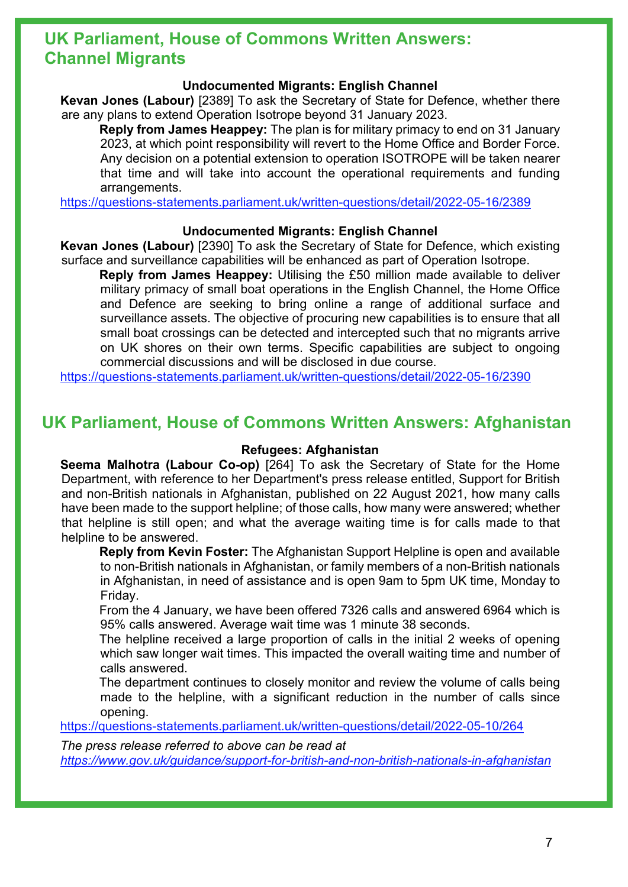### **UK Parliament, House of Commons Written Answers: Channel Migrants**

### **Undocumented Migrants: English Channel**

**Kevan Jones (Labour)** [2389] To ask the Secretary of State for Defence, whether there are any plans to extend Operation Isotrope beyond 31 January 2023.

**Reply from James Heappey:** The plan is for military primacy to end on 31 January 2023, at which point responsibility will revert to the Home Office and Border Force. Any decision on a potential extension to operation ISOTROPE will be taken nearer that time and will take into account the operational requirements and funding arrangements.

<https://questions-statements.parliament.uk/written-questions/detail/2022-05-16/2389>

### **Undocumented Migrants: English Channel**

**Kevan Jones (Labour)** [2390] To ask the Secretary of State for Defence, which existing surface and surveillance capabilities will be enhanced as part of Operation Isotrope.

**Reply from James Heappey:** Utilising the £50 million made available to deliver military primacy of small boat operations in the English Channel, the Home Office and Defence are seeking to bring online a range of additional surface and surveillance assets. The objective of procuring new capabilities is to ensure that all small boat crossings can be detected and intercepted such that no migrants arrive on UK shores on their own terms. Specific capabilities are subject to ongoing commercial discussions and will be disclosed in due course.

<https://questions-statements.parliament.uk/written-questions/detail/2022-05-16/2390>

### **UK Parliament, House of Commons Written Answers: Afghanistan**

### **Refugees: Afghanistan**

**Seema Malhotra (Labour Co-op)** [264] To ask the Secretary of State for the Home Department, with reference to her Department's press release entitled, Support for British and non-British nationals in Afghanistan, published on 22 August 2021, how many calls have been made to the support helpline; of those calls, how many were answered; whether that helpline is still open; and what the average waiting time is for calls made to that helpline to be answered.

**Reply from Kevin Foster:** The Afghanistan Support Helpline is open and available to non-British nationals in Afghanistan, or family members of a non-British nationals in Afghanistan, in need of assistance and is open 9am to 5pm UK time, Monday to Friday.

From the 4 January, we have been offered 7326 calls and answered 6964 which is 95% calls answered. Average wait time was 1 minute 38 seconds.

The helpline received a large proportion of calls in the initial 2 weeks of opening which saw longer wait times. This impacted the overall waiting time and number of calls answered.

The department continues to closely monitor and review the volume of calls being made to the helpline, with a significant reduction in the number of calls since opening.

<https://questions-statements.parliament.uk/written-questions/detail/2022-05-10/264>

*The press release referred to above can be read at <https://www.gov.uk/guidance/support-for-british-and-non-british-nationals-in-afghanistan>*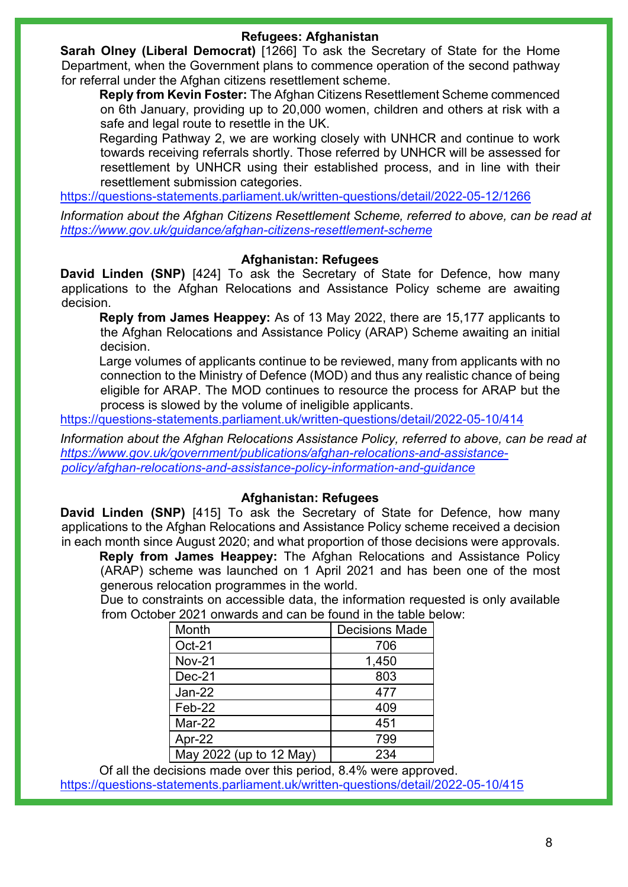### **Refugees: Afghanistan**

**Sarah Olney (Liberal Democrat)** [1266] To ask the Secretary of State for the Home Department, when the Government plans to commence operation of the second pathway for referral under the Afghan citizens resettlement scheme.

**Reply from Kevin Foster:** The Afghan Citizens Resettlement Scheme commenced on 6th January, providing up to 20,000 women, children and others at risk with a safe and legal route to resettle in the UK.

Regarding Pathway 2, we are working closely with UNHCR and continue to work towards receiving referrals shortly. Those referred by UNHCR will be assessed for resettlement by UNHCR using their established process, and in line with their resettlement submission categories.

<https://questions-statements.parliament.uk/written-questions/detail/2022-05-12/1266>

*Information about the Afghan Citizens Resettlement Scheme, referred to above, can be read at <https://www.gov.uk/guidance/afghan-citizens-resettlement-scheme>*

### **Afghanistan: Refugees**

**David Linden (SNP)** [424] To ask the Secretary of State for Defence, how many applications to the Afghan Relocations and Assistance Policy scheme are awaiting decision.

**Reply from James Heappey:** As of 13 May 2022, there are 15,177 applicants to the Afghan Relocations and Assistance Policy (ARAP) Scheme awaiting an initial decision.

Large volumes of applicants continue to be reviewed, many from applicants with no connection to the Ministry of Defence (MOD) and thus any realistic chance of being eligible for ARAP. The MOD continues to resource the process for ARAP but the process is slowed by the volume of ineligible applicants.

<https://questions-statements.parliament.uk/written-questions/detail/2022-05-10/414>

*Information about the Afghan Relocations Assistance Policy, referred to above, can be read at [https://www.gov.uk/government/publications/afghan-relocations-and-assistance](https://www.gov.uk/government/publications/afghan-relocations-and-assistance-policy/afghan-relocations-and-assistance-policy-information-and-guidance)[policy/afghan-relocations-and-assistance-policy-information-and-guidance](https://www.gov.uk/government/publications/afghan-relocations-and-assistance-policy/afghan-relocations-and-assistance-policy-information-and-guidance)*

### **Afghanistan: Refugees**

**David Linden (SNP)** [415] To ask the Secretary of State for Defence, how many applications to the Afghan Relocations and Assistance Policy scheme received a decision in each month since August 2020; and what proportion of those decisions were approvals.

**Reply from James Heappey:** The Afghan Relocations and Assistance Policy (ARAP) scheme was launched on 1 April 2021 and has been one of the most generous relocation programmes in the world.

Due to constraints on accessible data, the information requested is only available from October 2021 onwards and can be found in the table below:

| Month                   | <b>Decisions Made</b> |  |  |
|-------------------------|-----------------------|--|--|
| Oct-21                  | 706                   |  |  |
| <b>Nov-21</b>           | 1,450                 |  |  |
| $Dec-21$                | 803                   |  |  |
| Jan-22                  | 477                   |  |  |
| Feb-22                  | 409                   |  |  |
| Mar-22                  | 451                   |  |  |
| Apr-22                  | 799                   |  |  |
| May 2022 (up to 12 May) | 234                   |  |  |

Of all the decisions made over this period, 8.4% were approved. <https://questions-statements.parliament.uk/written-questions/detail/2022-05-10/415>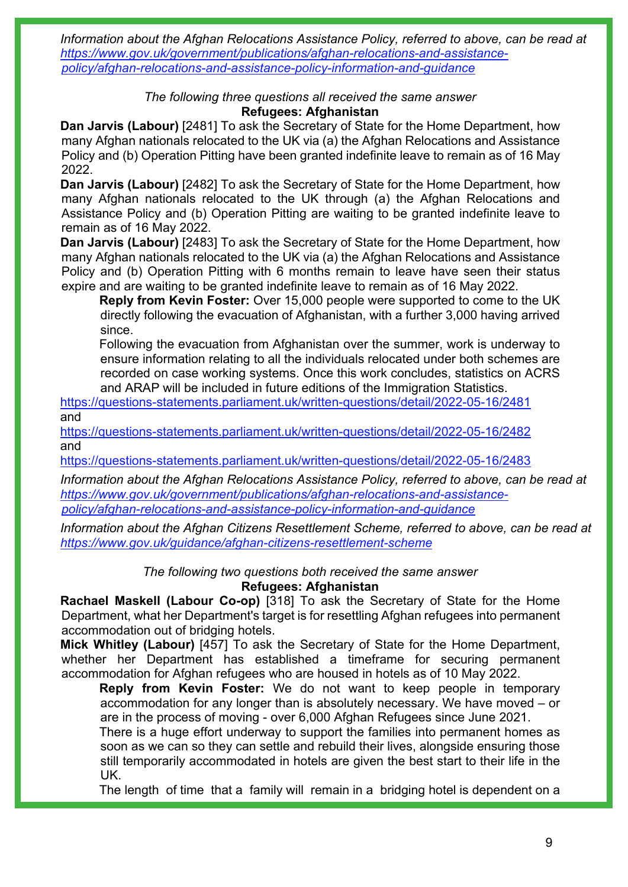*Information about the Afghan Relocations Assistance Policy, referred to above, can be read at [https://www.gov.uk/government/publications/afghan-relocations-and-assistance](https://www.gov.uk/government/publications/afghan-relocations-and-assistance-policy/afghan-relocations-and-assistance-policy-information-and-guidance)[policy/afghan-relocations-and-assistance-policy-information-and-guidance](https://www.gov.uk/government/publications/afghan-relocations-and-assistance-policy/afghan-relocations-and-assistance-policy-information-and-guidance)*

#### *The following three questions all received the same answer* **Refugees: Afghanistan**

**Dan Jarvis (Labour)** [2481] To ask the Secretary of State for the Home Department, how many Afghan nationals relocated to the UK via (a) the Afghan Relocations and Assistance Policy and (b) Operation Pitting have been granted indefinite leave to remain as of 16 May 2022.

**Dan Jarvis (Labour)** [2482] To ask the Secretary of State for the Home Department, how many Afghan nationals relocated to the UK through (a) the Afghan Relocations and Assistance Policy and (b) Operation Pitting are waiting to be granted indefinite leave to remain as of 16 May 2022.

**Dan Jarvis (Labour)** [2483] To ask the Secretary of State for the Home Department, how many Afghan nationals relocated to the UK via (a) the Afghan Relocations and Assistance Policy and (b) Operation Pitting with 6 months remain to leave have seen their status expire and are waiting to be granted indefinite leave to remain as of 16 May 2022.

**Reply from Kevin Foster:** Over 15,000 people were supported to come to the UK directly following the evacuation of Afghanistan, with a further 3,000 having arrived since.

Following the evacuation from Afghanistan over the summer, work is underway to ensure information relating to all the individuals relocated under both schemes are recorded on case working systems. Once this work concludes, statistics on ACRS and ARAP will be included in future editions of the Immigration Statistics.

<https://questions-statements.parliament.uk/written-questions/detail/2022-05-16/2481> and

<https://questions-statements.parliament.uk/written-questions/detail/2022-05-16/2482> and

<https://questions-statements.parliament.uk/written-questions/detail/2022-05-16/2483>

*Information about the Afghan Relocations Assistance Policy, referred to above, can be read at [https://www.gov.uk/government/publications/afghan-relocations-and-assistance](https://www.gov.uk/government/publications/afghan-relocations-and-assistance-policy/afghan-relocations-and-assistance-policy-information-and-guidance)[policy/afghan-relocations-and-assistance-policy-information-and-guidance](https://www.gov.uk/government/publications/afghan-relocations-and-assistance-policy/afghan-relocations-and-assistance-policy-information-and-guidance)*

*Information about the Afghan Citizens Resettlement Scheme, referred to above, can be read at <https://www.gov.uk/guidance/afghan-citizens-resettlement-scheme>*

*The following two questions both received the same answer*

### **Refugees: Afghanistan**

**Rachael Maskell (Labour Co-op)** [318] To ask the Secretary of State for the Home Department, what her Department's target is for resettling Afghan refugees into permanent accommodation out of bridging hotels.

**Mick Whitley (Labour)** [457] To ask the Secretary of State for the Home Department, whether her Department has established a timeframe for securing permanent accommodation for Afghan refugees who are housed in hotels as of 10 May 2022.

**Reply from Kevin Foster:** We do not want to keep people in temporary accommodation for any longer than is absolutely necessary. We have moved – or are in the process of moving - over 6,000 Afghan Refugees since June 2021.

There is a huge effort underway to support the families into permanent homes as soon as we can so they can settle and rebuild their lives, alongside ensuring those still temporarily accommodated in hotels are given the best start to their life in the UK.

The length of time that a family will remain in a bridging hotel is dependent on a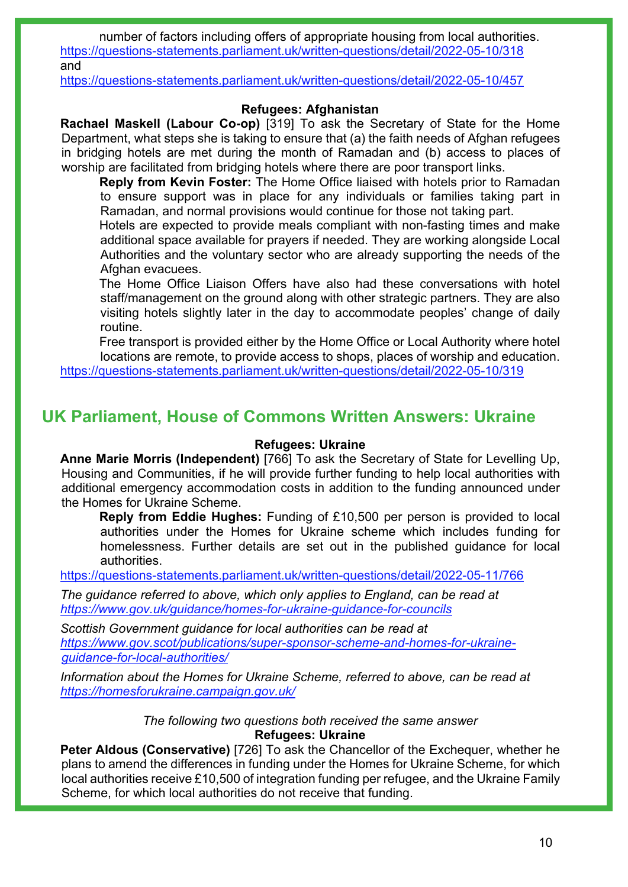number of factors including offers of appropriate housing from local authorities. <https://questions-statements.parliament.uk/written-questions/detail/2022-05-10/318> and

<https://questions-statements.parliament.uk/written-questions/detail/2022-05-10/457>

### **Refugees: Afghanistan**

**Rachael Maskell (Labour Co-op)** [319] To ask the Secretary of State for the Home Department, what steps she is taking to ensure that (a) the faith needs of Afghan refugees in bridging hotels are met during the month of Ramadan and (b) access to places of worship are facilitated from bridging hotels where there are poor transport links.

**Reply from Kevin Foster:** The Home Office liaised with hotels prior to Ramadan to ensure support was in place for any individuals or families taking part in Ramadan, and normal provisions would continue for those not taking part.

Hotels are expected to provide meals compliant with non-fasting times and make additional space available for prayers if needed. They are working alongside Local Authorities and the voluntary sector who are already supporting the needs of the Afghan evacuees.

The Home Office Liaison Offers have also had these conversations with hotel staff/management on the ground along with other strategic partners. They are also visiting hotels slightly later in the day to accommodate peoples' change of daily routine.

Free transport is provided either by the Home Office or Local Authority where hotel locations are remote, to provide access to shops, places of worship and education. <https://questions-statements.parliament.uk/written-questions/detail/2022-05-10/319>

### **UK Parliament, House of Commons Written Answers: Ukraine**

### **Refugees: Ukraine**

**Anne Marie Morris (Independent)** [766] To ask the Secretary of State for Levelling Up, Housing and Communities, if he will provide further funding to help local authorities with additional emergency accommodation costs in addition to the funding announced under the Homes for Ukraine Scheme.

**Reply from Eddie Hughes:** Funding of £10,500 per person is provided to local authorities under the Homes for Ukraine scheme which includes funding for homelessness. Further details are set out in the published guidance for local authorities.

<https://questions-statements.parliament.uk/written-questions/detail/2022-05-11/766>

*The guidance referred to above, which only applies to England, can be read at <https://www.gov.uk/guidance/homes-for-ukraine-guidance-for-councils>*

*Scottish Government guidance for local authorities can be read at [https://www.gov.scot/publications/super-sponsor-scheme-and-homes-for-ukraine](https://www.gov.scot/publications/super-sponsor-scheme-and-homes-for-ukraine-guidance-for-local-authorities/)[guidance-for-local-authorities/](https://www.gov.scot/publications/super-sponsor-scheme-and-homes-for-ukraine-guidance-for-local-authorities/)* 

*Information about the Homes for Ukraine Scheme, referred to above, can be read at <https://homesforukraine.campaign.gov.uk/>*

> *The following two questions both received the same answer* **Refugees: Ukraine**

**Peter Aldous (Conservative)** [726] To ask the Chancellor of the Exchequer, whether he plans to amend the differences in funding under the Homes for Ukraine Scheme, for which local authorities receive £10,500 of integration funding per refugee, and the Ukraine Family Scheme, for which local authorities do not receive that funding.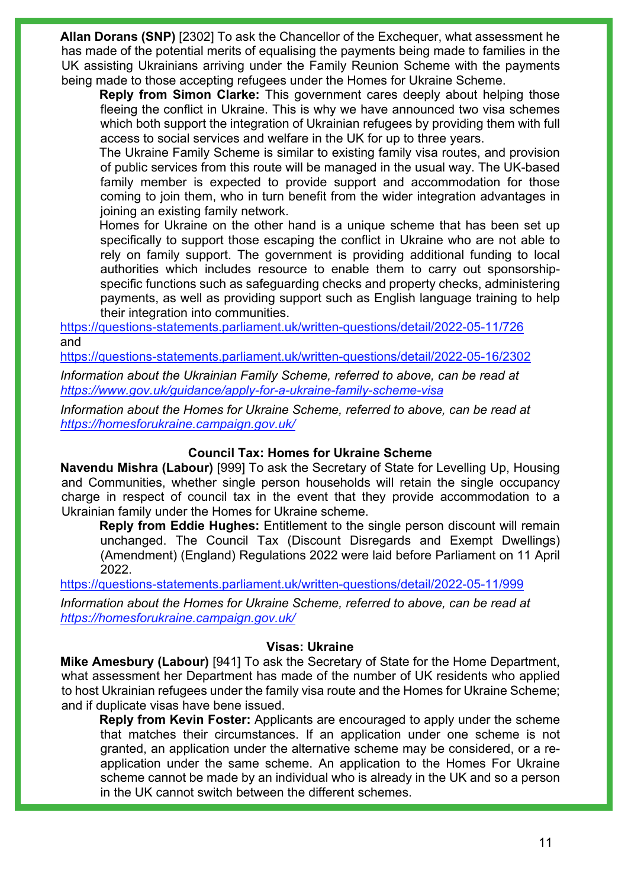**Allan Dorans (SNP)** [2302] To ask the Chancellor of the Exchequer, what assessment he has made of the potential merits of equalising the payments being made to families in the UK assisting Ukrainians arriving under the Family Reunion Scheme with the payments being made to those accepting refugees under the Homes for Ukraine Scheme.

**Reply from Simon Clarke:** This government cares deeply about helping those fleeing the conflict in Ukraine. This is why we have announced two visa schemes which both support the integration of Ukrainian refugees by providing them with full access to social services and welfare in the UK for up to three years.

The Ukraine Family Scheme is similar to existing family visa routes, and provision of public services from this route will be managed in the usual way. The UK-based family member is expected to provide support and accommodation for those coming to join them, who in turn benefit from the wider integration advantages in joining an existing family network.

Homes for Ukraine on the other hand is a unique scheme that has been set up specifically to support those escaping the conflict in Ukraine who are not able to rely on family support. The government is providing additional funding to local authorities which includes resource to enable them to carry out sponsorshipspecific functions such as safeguarding checks and property checks, administering payments, as well as providing support such as English language training to help their integration into communities.

<https://questions-statements.parliament.uk/written-questions/detail/2022-05-11/726> and

<https://questions-statements.parliament.uk/written-questions/detail/2022-05-16/2302>

*Information about the Ukrainian Family Scheme, referred to above, can be read at <https://www.gov.uk/guidance/apply-for-a-ukraine-family-scheme-visa>*

*Information about the Homes for Ukraine Scheme, referred to above, can be read at <https://homesforukraine.campaign.gov.uk/>*

### **Council Tax: Homes for Ukraine Scheme**

**Navendu Mishra (Labour)** [999] To ask the Secretary of State for Levelling Up, Housing and Communities, whether single person households will retain the single occupancy charge in respect of council tax in the event that they provide accommodation to a Ukrainian family under the Homes for Ukraine scheme.

**Reply from Eddie Hughes:** Entitlement to the single person discount will remain unchanged. The Council Tax (Discount Disregards and Exempt Dwellings) (Amendment) (England) Regulations 2022 were laid before Parliament on 11 April 2022.

<https://questions-statements.parliament.uk/written-questions/detail/2022-05-11/999>

*Information about the Homes for Ukraine Scheme, referred to above, can be read at <https://homesforukraine.campaign.gov.uk/>*

### **Visas: Ukraine**

**Mike Amesbury (Labour)** [941] To ask the Secretary of State for the Home Department, what assessment her Department has made of the number of UK residents who applied to host Ukrainian refugees under the family visa route and the Homes for Ukraine Scheme; and if duplicate visas have bene issued.

**Reply from Kevin Foster:** Applicants are encouraged to apply under the scheme that matches their circumstances. If an application under one scheme is not granted, an application under the alternative scheme may be considered, or a reapplication under the same scheme. An application to the Homes For Ukraine scheme cannot be made by an individual who is already in the UK and so a person in the UK cannot switch between the different schemes.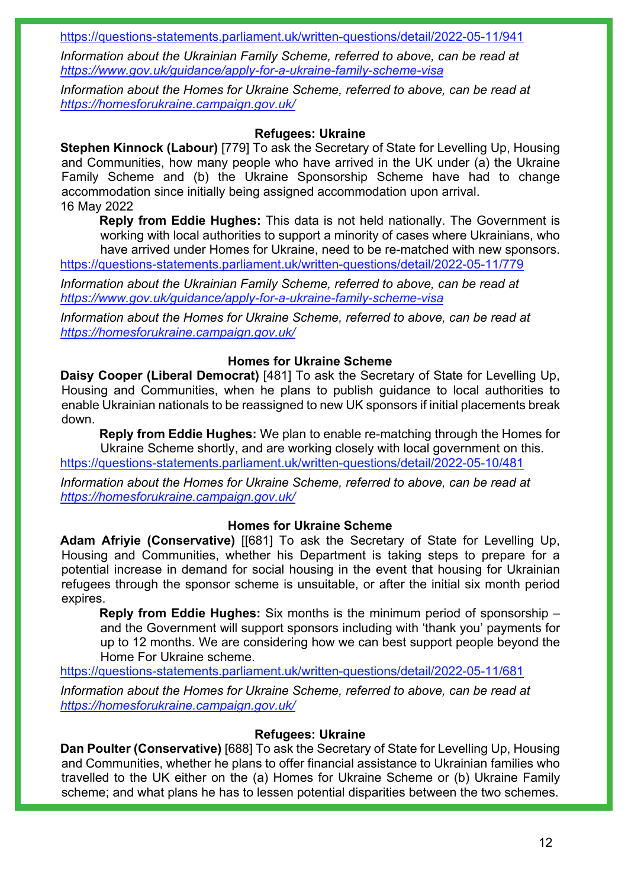<https://questions-statements.parliament.uk/written-questions/detail/2022-05-11/941>

*Information about the Ukrainian Family Scheme, referred to above, can be read at <https://www.gov.uk/guidance/apply-for-a-ukraine-family-scheme-visa>*

*Information about the Homes for Ukraine Scheme, referred to above, can be read at <https://homesforukraine.campaign.gov.uk/>*

### **Refugees: Ukraine**

**Stephen Kinnock (Labour)** [779] To ask the Secretary of State for Levelling Up, Housing and Communities, how many people who have arrived in the UK under (a) the Ukraine Family Scheme and (b) the Ukraine Sponsorship Scheme have had to change accommodation since initially being assigned accommodation upon arrival. 16 May 2022

**Reply from Eddie Hughes:** This data is not held nationally. The Government is working with local authorities to support a minority of cases where Ukrainians, who have arrived under Homes for Ukraine, need to be re-matched with new sponsors.

<https://questions-statements.parliament.uk/written-questions/detail/2022-05-11/779>

*Information about the Ukrainian Family Scheme, referred to above, can be read at <https://www.gov.uk/guidance/apply-for-a-ukraine-family-scheme-visa>*

*Information about the Homes for Ukraine Scheme, referred to above, can be read at <https://homesforukraine.campaign.gov.uk/>*

#### **Homes for Ukraine Scheme**

**Daisy Cooper (Liberal Democrat)** [481] To ask the Secretary of State for Levelling Up, Housing and Communities, when he plans to publish guidance to local authorities to enable Ukrainian nationals to be reassigned to new UK sponsors if initial placements break down.

**Reply from Eddie Hughes:** We plan to enable re-matching through the Homes for Ukraine Scheme shortly, and are working closely with local government on this. <https://questions-statements.parliament.uk/written-questions/detail/2022-05-10/481>

*Information about the Homes for Ukraine Scheme, referred to above, can be read at <https://homesforukraine.campaign.gov.uk/>*

#### **Homes for Ukraine Scheme**

**Adam Afriyie (Conservative)** [[681] To ask the Secretary of State for Levelling Up, Housing and Communities, whether his Department is taking steps to prepare for a potential increase in demand for social housing in the event that housing for Ukrainian refugees through the sponsor scheme is unsuitable, or after the initial six month period expires.

**Reply from Eddie Hughes:** Six months is the minimum period of sponsorship – and the Government will support sponsors including with 'thank you' payments for up to 12 months. We are considering how we can best support people beyond the Home For Ukraine scheme.

<https://questions-statements.parliament.uk/written-questions/detail/2022-05-11/681>

*Information about the Homes for Ukraine Scheme, referred to above, can be read at <https://homesforukraine.campaign.gov.uk/>*

### **Refugees: Ukraine**

**Dan Poulter (Conservative)** [688] To ask the Secretary of State for Levelling Up, Housing and Communities, whether he plans to offer financial assistance to Ukrainian families who travelled to the UK either on the (a) Homes for Ukraine Scheme or (b) Ukraine Family scheme; and what plans he has to lessen potential disparities between the two schemes.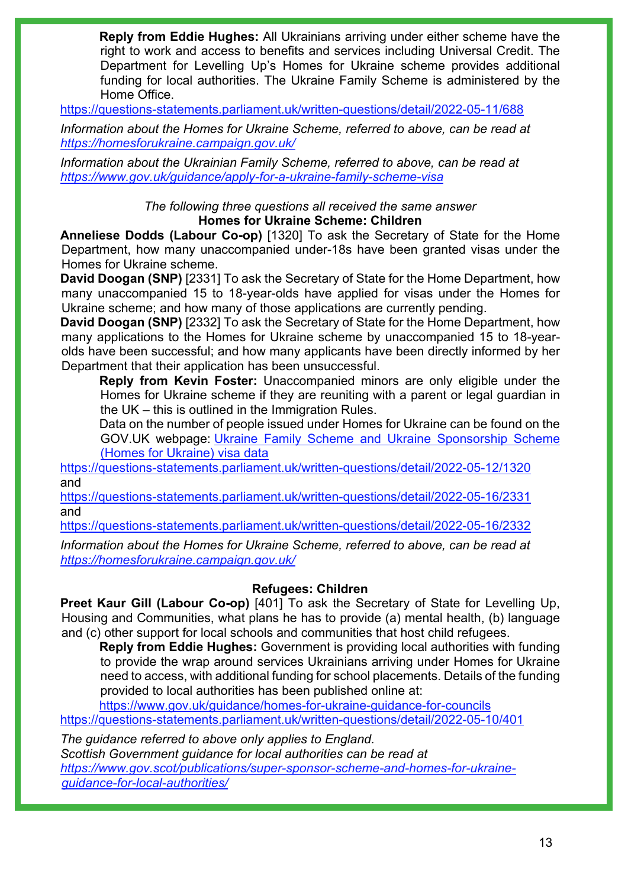**Reply from Eddie Hughes:** All Ukrainians arriving under either scheme have the right to work and access to benefits and services including Universal Credit. The Department for Levelling Up's Homes for Ukraine scheme provides additional funding for local authorities. The Ukraine Family Scheme is administered by the Home Office.

<https://questions-statements.parliament.uk/written-questions/detail/2022-05-11/688>

*Information about the Homes for Ukraine Scheme, referred to above, can be read at <https://homesforukraine.campaign.gov.uk/>*

*Information about the Ukrainian Family Scheme, referred to above, can be read at <https://www.gov.uk/guidance/apply-for-a-ukraine-family-scheme-visa>*

### *The following three questions all received the same answer* **Homes for Ukraine Scheme: Children**

**Anneliese Dodds (Labour Co-op)** [1320] To ask the Secretary of State for the Home Department, how many unaccompanied under-18s have been granted visas under the Homes for Ukraine scheme.

**David Doogan (SNP)** [2331] To ask the Secretary of State for the Home Department, how many unaccompanied 15 to 18-year-olds have applied for visas under the Homes for Ukraine scheme; and how many of those applications are currently pending.

**David Doogan (SNP)** [2332] To ask the Secretary of State for the Home Department, how many applications to the Homes for Ukraine scheme by unaccompanied 15 to 18-yearolds have been successful; and how many applicants have been directly informed by her Department that their application has been unsuccessful.

**Reply from Kevin Foster:** Unaccompanied minors are only eligible under the Homes for Ukraine scheme if they are reuniting with a parent or legal guardian in the UK – this is outlined in the Immigration Rules.

Data on the number of people issued under Homes for Ukraine can be found on the GOV.UK webpage: [Ukraine Family Scheme and Ukraine Sponsorship Scheme](https://gbr01.safelinks.protection.outlook.com/?url=https%3A%2F%2Fwww.gov.uk%2Fgovernment%2Fpublications%2Fukraine-family-scheme-application-data%2Fukraine-family-scheme-and-ukraine-sponsorship-scheme-homes-for-ukraine-visa-data&data=05%7C01%7CKeith.Edwards42%40homeoffice.gov.uk%7Cd57883fc1c294055a34808da34d3f8f2%7Cf24d93ecb2914192a08af182245945c2%7C0%7C0%7C637880382255722728%7CUnknown%7CTWFpbGZsb3d8eyJWIjoiMC4wLjAwMDAiLCJQIjoiV2luMzIiLCJBTiI6Ik1haWwiLCJXVCI6Mn0%3D%7C3000%7C%7C%7C&sdata=qRsAIXVxgKSQ879dV%2BSTQRFX4C6Al2e5Ls2wFgC4qa8%3D&reserved=0)  [\(Homes for Ukraine\) visa data](https://gbr01.safelinks.protection.outlook.com/?url=https%3A%2F%2Fwww.gov.uk%2Fgovernment%2Fpublications%2Fukraine-family-scheme-application-data%2Fukraine-family-scheme-and-ukraine-sponsorship-scheme-homes-for-ukraine-visa-data&data=05%7C01%7CKeith.Edwards42%40homeoffice.gov.uk%7Cd57883fc1c294055a34808da34d3f8f2%7Cf24d93ecb2914192a08af182245945c2%7C0%7C0%7C637880382255722728%7CUnknown%7CTWFpbGZsb3d8eyJWIjoiMC4wLjAwMDAiLCJQIjoiV2luMzIiLCJBTiI6Ik1haWwiLCJXVCI6Mn0%3D%7C3000%7C%7C%7C&sdata=qRsAIXVxgKSQ879dV%2BSTQRFX4C6Al2e5Ls2wFgC4qa8%3D&reserved=0)

<https://questions-statements.parliament.uk/written-questions/detail/2022-05-12/1320> and

<https://questions-statements.parliament.uk/written-questions/detail/2022-05-16/2331> and

<https://questions-statements.parliament.uk/written-questions/detail/2022-05-16/2332>

*Information about the Homes for Ukraine Scheme, referred to above, can be read at <https://homesforukraine.campaign.gov.uk/>*

### **Refugees: Children**

**Preet Kaur Gill (Labour Co-op)** [401] To ask the Secretary of State for Levelling Up, Housing and Communities, what plans he has to provide (a) mental health, (b) language and (c) other support for local schools and communities that host child refugees.

**Reply from Eddie Hughes:** Government is providing local authorities with funding to provide the wrap around services Ukrainians arriving under Homes for Ukraine need to access, with additional funding for school placements. Details of the funding provided to local authorities has been published online at:

<https://www.gov.uk/guidance/homes-for-ukraine-guidance-for-councils> <https://questions-statements.parliament.uk/written-questions/detail/2022-05-10/401>

*The guidance referred to above only applies to England. Scottish Government guidance for local authorities can be read at [https://www.gov.scot/publications/super-sponsor-scheme-and-homes-for-ukraine](https://www.gov.scot/publications/super-sponsor-scheme-and-homes-for-ukraine-guidance-for-local-authorities/)[guidance-for-local-authorities/](https://www.gov.scot/publications/super-sponsor-scheme-and-homes-for-ukraine-guidance-for-local-authorities/)*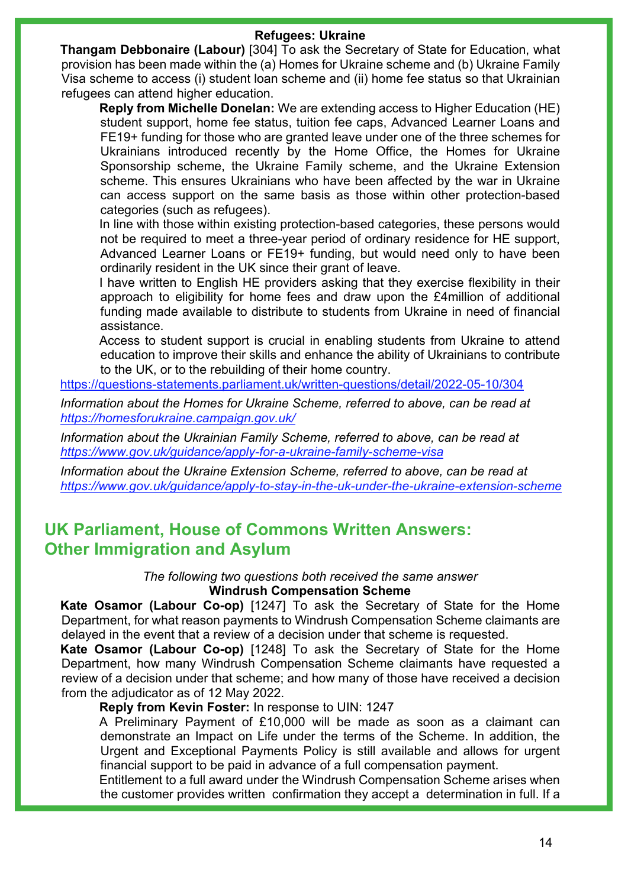#### **Refugees: Ukraine**

**Thangam Debbonaire (Labour)** [304] To ask the Secretary of State for Education, what provision has been made within the (a) Homes for Ukraine scheme and (b) Ukraine Family Visa scheme to access (i) student loan scheme and (ii) home fee status so that Ukrainian refugees can attend higher education.

**Reply from Michelle Donelan:** We are extending access to Higher Education (HE) student support, home fee status, tuition fee caps, Advanced Learner Loans and FE19+ funding for those who are granted leave under one of the three schemes for Ukrainians introduced recently by the Home Office, the Homes for Ukraine Sponsorship scheme, the Ukraine Family scheme, and the Ukraine Extension scheme. This ensures Ukrainians who have been affected by the war in Ukraine can access support on the same basis as those within other protection-based categories (such as refugees).

In line with those within existing protection-based categories, these persons would not be required to meet a three-year period of ordinary residence for HE support, Advanced Learner Loans or FE19+ funding, but would need only to have been ordinarily resident in the UK since their grant of leave.

I have written to English HE providers asking that they exercise flexibility in their approach to eligibility for home fees and draw upon the £4million of additional funding made available to distribute to students from Ukraine in need of financial assistance.

Access to student support is crucial in enabling students from Ukraine to attend education to improve their skills and enhance the ability of Ukrainians to contribute to the UK, or to the rebuilding of their home country.

<https://questions-statements.parliament.uk/written-questions/detail/2022-05-10/304>

*Information about the Homes for Ukraine Scheme, referred to above, can be read at <https://homesforukraine.campaign.gov.uk/>*

*Information about the Ukrainian Family Scheme, referred to above, can be read at <https://www.gov.uk/guidance/apply-for-a-ukraine-family-scheme-visa>*

*Information about the Ukraine Extension Scheme, referred to above, can be read at <https://www.gov.uk/guidance/apply-to-stay-in-the-uk-under-the-ukraine-extension-scheme>*

### **UK Parliament, House of Commons Written Answers: Other Immigration and Asylum**

*The following two questions both received the same answer* **Windrush Compensation Scheme**

**Kate Osamor (Labour Co-op)** [1247] To ask the Secretary of State for the Home Department, for what reason payments to Windrush Compensation Scheme claimants are delayed in the event that a review of a decision under that scheme is requested.

**Kate Osamor (Labour Co-op)** [1248] To ask the Secretary of State for the Home Department, how many Windrush Compensation Scheme claimants have requested a review of a decision under that scheme; and how many of those have received a decision from the adjudicator as of 12 May 2022.

### **Reply from Kevin Foster:** In response to UIN: 1247

A Preliminary Payment of £10,000 will be made as soon as a claimant can demonstrate an Impact on Life under the terms of the Scheme. In addition, the Urgent and Exceptional Payments Policy is still available and allows for urgent financial support to be paid in advance of a full compensation payment.

Entitlement to a full award under the Windrush Compensation Scheme arises when the customer provides written confirmation they accept a determination in full. If a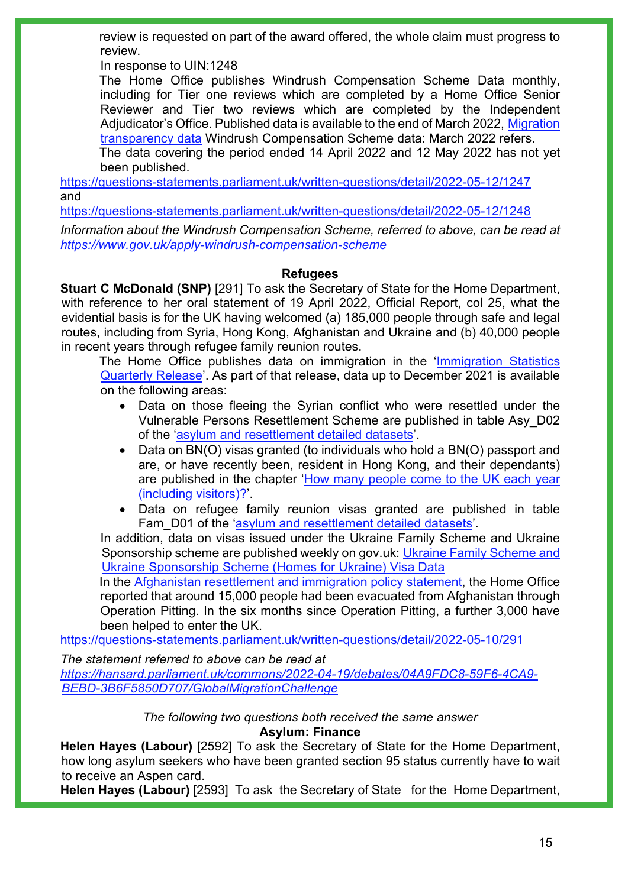review is requested on part of the award offered, the whole claim must progress to review.

In response to UIN:1248

The Home Office publishes Windrush Compensation Scheme Data monthly, including for Tier one reviews which are completed by a Home Office Senior Reviewer and Tier two reviews which are completed by the Independent Adjudicator's Office. Published data is available to the end of March 2022, [Migration](https://www.gov.uk/government/collections/migration-transparency-data#windrush-compensation-scheme)  [transparency data](https://www.gov.uk/government/collections/migration-transparency-data#windrush-compensation-scheme) Windrush Compensation Scheme data: March 2022 refers.

The data covering the period ended 14 April 2022 and 12 May 2022 has not yet been published.

<https://questions-statements.parliament.uk/written-questions/detail/2022-05-12/1247> and

<https://questions-statements.parliament.uk/written-questions/detail/2022-05-12/1248>

*Information about the Windrush Compensation Scheme, referred to above, can be read at <https://www.gov.uk/apply-windrush-compensation-scheme>*

### **Refugees**

**Stuart C McDonald (SNP)** [291] To ask the Secretary of State for the Home Department, with reference to her oral statement of 19 April 2022, Official Report, col 25, what the evidential basis is for the UK having welcomed (a) 185,000 people through safe and legal routes, including from Syria, Hong Kong, Afghanistan and Ukraine and (b) 40,000 people in recent years through refugee family reunion routes.

The Home Office publishes data on immigration in the 'Immigration Statistics [Quarterly Release'](https://www.gov.uk/government/collections/immigration-statistics-quarterly-release). As part of that release, data up to December 2021 is available on the following areas:

- Data on those fleeing the Syrian conflict who were resettled under the Vulnerable Persons Resettlement Scheme are published in table Asy\_D02 of the ['asylum and resettlement detailed datasets'](https://www.gov.uk/government/statistical-data-sets/asylum-and-resettlement-datasets).
- Data on BN(O) visas granted (to individuals who hold a BN(O) passport and are, or have recently been, resident in Hong Kong, and their dependants) are published in the chapter ['How many people come to the UK each year](https://www.gov.uk/government/statistics/immigration-statistics-year-ending-december-2021/how-many-people-come-to-the-uk-each-year-including-visitors)  [\(including visitors\)?'](https://www.gov.uk/government/statistics/immigration-statistics-year-ending-december-2021/how-many-people-come-to-the-uk-each-year-including-visitors).
- Data on refugee family reunion visas granted are published in table Fam D01 of the ['asylum and resettlement detailed datasets'](https://www.gov.uk/government/statistical-data-sets/asylum-and-resettlement-datasets).

In addition, data on visas issued under the Ukraine Family Scheme and Ukraine Sponsorship scheme are published weekly on gov.uk: [Ukraine Family Scheme and](https://gbr01.safelinks.protection.outlook.com/?url=https%3A%2F%2Fwww.gov.uk%2Fgovernment%2Fpublications%2Fukraine-family-scheme-application-data%2Fukraine-family-scheme-and-ukraine-sponsorship-scheme-homes-for-ukraine-visa-data--2&data=05%7C01%7CFrancesca.Allerton%40homeoffice.gov.uk%7C0b8198af46f94abc811d08da28f247b8%7Cf24d93ecb2914192a08af182245945c2%7C0%7C0%7C637867318290027183%7CUnknown%7CTWFpbGZsb3d8eyJWIjoiMC4wLjAwMDAiLCJQIjoiV2luMzIiLCJBTiI6Ik1haWwiLCJXVCI6Mn0%3D%7C3000%7C%7C%7C&sdata=gLIit2lNbkU92foaORxmbqjPsfB0NY2aKJSyeVsLygc%3D&reserved=0)  [Ukraine Sponsorship Scheme \(Homes for Ukraine\) Visa Data](https://gbr01.safelinks.protection.outlook.com/?url=https%3A%2F%2Fwww.gov.uk%2Fgovernment%2Fpublications%2Fukraine-family-scheme-application-data%2Fukraine-family-scheme-and-ukraine-sponsorship-scheme-homes-for-ukraine-visa-data--2&data=05%7C01%7CFrancesca.Allerton%40homeoffice.gov.uk%7C0b8198af46f94abc811d08da28f247b8%7Cf24d93ecb2914192a08af182245945c2%7C0%7C0%7C637867318290027183%7CUnknown%7CTWFpbGZsb3d8eyJWIjoiMC4wLjAwMDAiLCJQIjoiV2luMzIiLCJBTiI6Ik1haWwiLCJXVCI6Mn0%3D%7C3000%7C%7C%7C&sdata=gLIit2lNbkU92foaORxmbqjPsfB0NY2aKJSyeVsLygc%3D&reserved=0)

In the [Afghanistan resettlement and immigration policy statement,](https://www.gov.uk/government/publications/afghanistan-resettlement-and-immigration-policy-statement/afghanistan-resettlement-and-immigration-policy-statement-accessible-version) the Home Office reported that around 15,000 people had been evacuated from Afghanistan through Operation Pitting. In the six months since Operation Pitting, a further 3,000 have been helped to enter the UK.

<https://questions-statements.parliament.uk/written-questions/detail/2022-05-10/291>

*The statement referred to above can be read at [https://hansard.parliament.uk/commons/2022-04-19/debates/04A9FDC8-59F6-4CA9-](https://hansard.parliament.uk/commons/2022-04-19/debates/04A9FDC8-59F6-4CA9-BEBD-3B6F5850D707/GlobalMigrationChallenge) [BEBD-3B6F5850D707/GlobalMigrationChallenge](https://hansard.parliament.uk/commons/2022-04-19/debates/04A9FDC8-59F6-4CA9-BEBD-3B6F5850D707/GlobalMigrationChallenge)* 

*The following two questions both received the same answer*

**Asylum: Finance**

**Helen Hayes (Labour)** [2592] To ask the Secretary of State for the Home Department, how long asylum seekers who have been granted section 95 status currently have to wait to receive an Aspen card.

**Helen Hayes (Labour)** [2593] To ask the Secretary of State for the Home Department,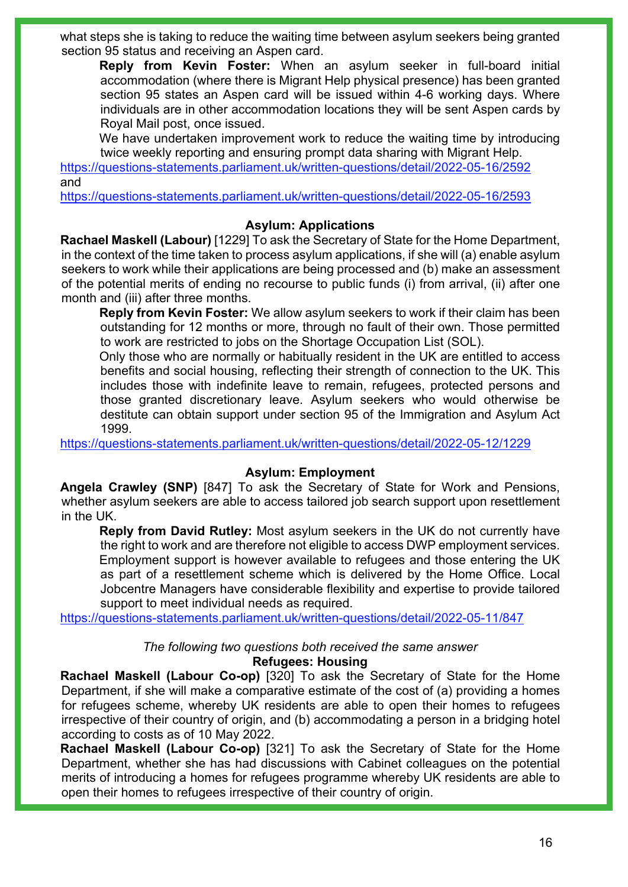what steps she is taking to reduce the waiting time between asylum seekers being granted section 95 status and receiving an Aspen card.

**Reply from Kevin Foster:** When an asylum seeker in full-board initial accommodation (where there is Migrant Help physical presence) has been granted section 95 states an Aspen card will be issued within 4-6 working days. Where individuals are in other accommodation locations they will be sent Aspen cards by Royal Mail post, once issued.

We have undertaken improvement work to reduce the waiting time by introducing twice weekly reporting and ensuring prompt data sharing with Migrant Help.

<https://questions-statements.parliament.uk/written-questions/detail/2022-05-16/2592> and

<https://questions-statements.parliament.uk/written-questions/detail/2022-05-16/2593>

### **Asylum: Applications**

**Rachael Maskell (Labour)** [1229] To ask the Secretary of State for the Home Department, in the context of the time taken to process asylum applications, if she will (a) enable asylum seekers to work while their applications are being processed and (b) make an assessment of the potential merits of ending no recourse to public funds (i) from arrival, (ii) after one month and (iii) after three months.

**Reply from Kevin Foster:** We allow asylum seekers to work if their claim has been outstanding for 12 months or more, through no fault of their own. Those permitted to work are restricted to jobs on the Shortage Occupation List (SOL).

Only those who are normally or habitually resident in the UK are entitled to access benefits and social housing, reflecting their strength of connection to the UK. This includes those with indefinite leave to remain, refugees, protected persons and those granted discretionary leave. Asylum seekers who would otherwise be destitute can obtain support under section 95 of the Immigration and Asylum Act 1999.

<https://questions-statements.parliament.uk/written-questions/detail/2022-05-12/1229>

### **Asylum: Employment**

**Angela Crawley (SNP)** [847] To ask the Secretary of State for Work and Pensions, whether asylum seekers are able to access tailored job search support upon resettlement in the UK.

**Reply from David Rutley:** Most asylum seekers in the UK do not currently have the right to work and are therefore not eligible to access DWP employment services. Employment support is however available to refugees and those entering the UK as part of a resettlement scheme which is delivered by the Home Office. Local Jobcentre Managers have considerable flexibility and expertise to provide tailored support to meet individual needs as required.

<https://questions-statements.parliament.uk/written-questions/detail/2022-05-11/847>

#### *The following two questions both received the same answer* **Refugees: Housing**

**Rachael Maskell (Labour Co-op)** [320] To ask the Secretary of State for the Home Department, if she will make a comparative estimate of the cost of (a) providing a homes for refugees scheme, whereby UK residents are able to open their homes to refugees irrespective of their country of origin, and (b) accommodating a person in a bridging hotel according to costs as of 10 May 2022.

**Rachael Maskell (Labour Co-op)** [321] To ask the Secretary of State for the Home Department, whether she has had discussions with Cabinet colleagues on the potential merits of introducing a homes for refugees programme whereby UK residents are able to open their homes to refugees irrespective of their country of origin.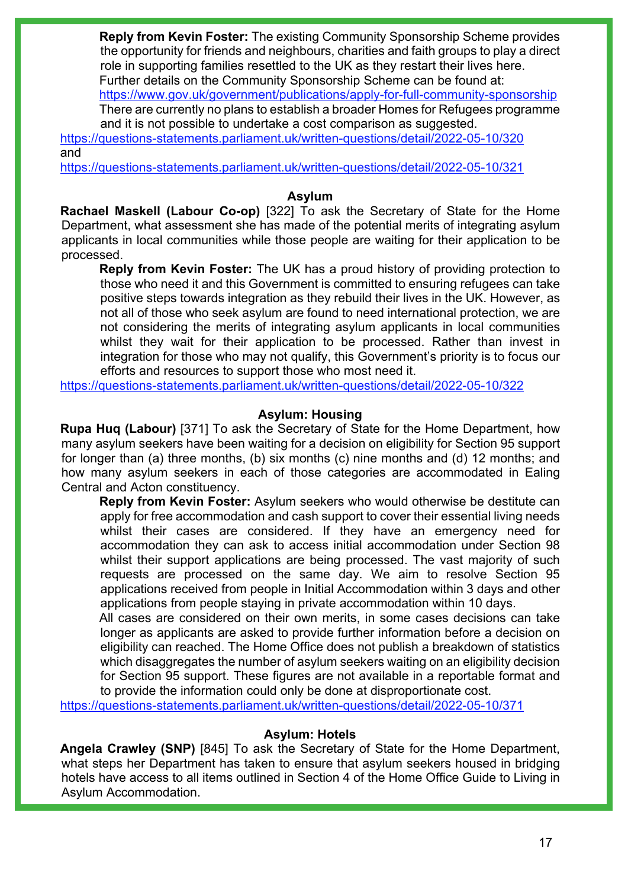**Reply from Kevin Foster:** The existing Community Sponsorship Scheme provides the opportunity for friends and neighbours, charities and faith groups to play a direct role in supporting families resettled to the UK as they restart their lives here. Further details on the Community Sponsorship Scheme can be found at: <https://www.gov.uk/government/publications/apply-for-full-community-sponsorship>

There are currently no plans to establish a broader Homes for Refugees programme and it is not possible to undertake a cost comparison as suggested.

<https://questions-statements.parliament.uk/written-questions/detail/2022-05-10/320> and

<https://questions-statements.parliament.uk/written-questions/detail/2022-05-10/321>

#### **Asylum**

**Rachael Maskell (Labour Co-op)** [322] To ask the Secretary of State for the Home Department, what assessment she has made of the potential merits of integrating asylum applicants in local communities while those people are waiting for their application to be processed.

**Reply from Kevin Foster:** The UK has a proud history of providing protection to those who need it and this Government is committed to ensuring refugees can take positive steps towards integration as they rebuild their lives in the UK. However, as not all of those who seek asylum are found to need international protection, we are not considering the merits of integrating asylum applicants in local communities whilst they wait for their application to be processed. Rather than invest in integration for those who may not qualify, this Government's priority is to focus our efforts and resources to support those who most need it.

<https://questions-statements.parliament.uk/written-questions/detail/2022-05-10/322>

### **Asylum: Housing**

**Rupa Huq (Labour)** [371] To ask the Secretary of State for the Home Department, how many asylum seekers have been waiting for a decision on eligibility for Section 95 support for longer than (a) three months, (b) six months (c) nine months and (d) 12 months; and how many asylum seekers in each of those categories are accommodated in Ealing Central and Acton constituency.

**Reply from Kevin Foster:** Asylum seekers who would otherwise be destitute can apply for free accommodation and cash support to cover their essential living needs whilst their cases are considered. If they have an emergency need for accommodation they can ask to access initial accommodation under Section 98 whilst their support applications are being processed. The vast majority of such requests are processed on the same day. We aim to resolve Section 95 applications received from people in Initial Accommodation within 3 days and other applications from people staying in private accommodation within 10 days.

All cases are considered on their own merits, in some cases decisions can take longer as applicants are asked to provide further information before a decision on eligibility can reached. The Home Office does not publish a breakdown of statistics which disaggregates the number of asylum seekers waiting on an eligibility decision for Section 95 support. These figures are not available in a reportable format and to provide the information could only be done at disproportionate cost.

<https://questions-statements.parliament.uk/written-questions/detail/2022-05-10/371>

### **Asylum: Hotels**

**Angela Crawley (SNP)** [845] To ask the Secretary of State for the Home Department, what steps her Department has taken to ensure that asylum seekers housed in bridging hotels have access to all items outlined in Section 4 of the Home Office Guide to Living in Asylum Accommodation.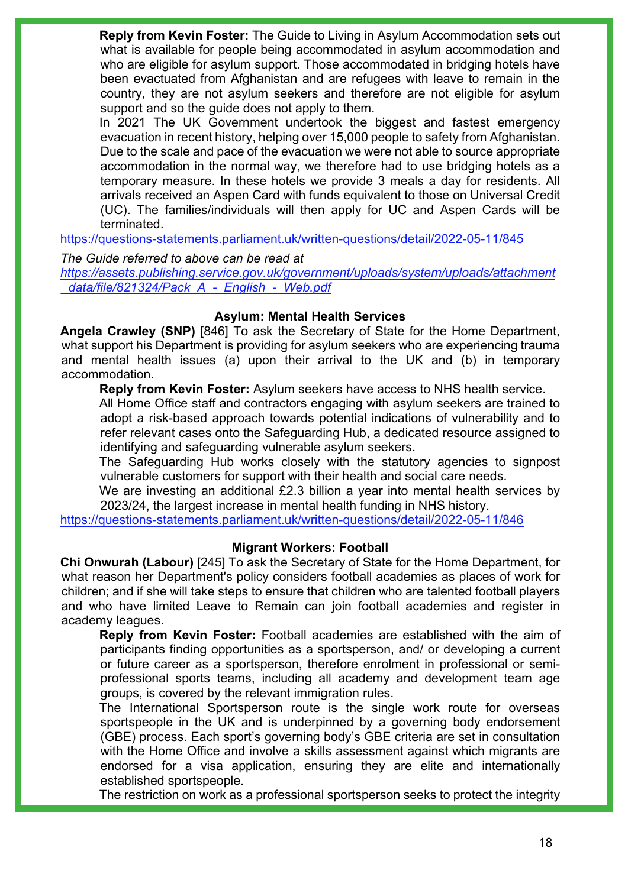**Reply from Kevin Foster:** The Guide to Living in Asylum Accommodation sets out what is available for people being accommodated in asylum accommodation and who are eligible for asylum support. Those accommodated in bridging hotels have been evactuated from Afghanistan and are refugees with leave to remain in the country, they are not asylum seekers and therefore are not eligible for asylum support and so the guide does not apply to them.

In 2021 The UK Government undertook the biggest and fastest emergency evacuation in recent history, helping over 15,000 people to safety from Afghanistan. Due to the scale and pace of the evacuation we were not able to source appropriate accommodation in the normal way, we therefore had to use bridging hotels as a temporary measure. In these hotels we provide 3 meals a day for residents. All arrivals received an Aspen Card with funds equivalent to those on Universal Credit (UC). The families/individuals will then apply for UC and Aspen Cards will be terminated.

<https://questions-statements.parliament.uk/written-questions/detail/2022-05-11/845>

*The Guide referred to above can be read at*

*[https://assets.publishing.service.gov.uk/government/uploads/system/uploads/attachment](https://assets.publishing.service.gov.uk/government/uploads/system/uploads/attachment_data/file/821324/Pack_A_-_English_-_Web.pdf) [\\_data/file/821324/Pack\\_A\\_-\\_English\\_-\\_Web.pdf](https://assets.publishing.service.gov.uk/government/uploads/system/uploads/attachment_data/file/821324/Pack_A_-_English_-_Web.pdf)* 

### **Asylum: Mental Health Services**

**Angela Crawley (SNP)** [846] To ask the Secretary of State for the Home Department, what support his Department is providing for asylum seekers who are experiencing trauma and mental health issues (a) upon their arrival to the UK and (b) in temporary accommodation.

**Reply from Kevin Foster:** Asylum seekers have access to NHS health service.

All Home Office staff and contractors engaging with asylum seekers are trained to adopt a risk-based approach towards potential indications of vulnerability and to refer relevant cases onto the Safeguarding Hub, a dedicated resource assigned to identifying and safeguarding vulnerable asylum seekers.

The Safeguarding Hub works closely with the statutory agencies to signpost vulnerable customers for support with their health and social care needs.

We are investing an additional £2.3 billion a year into mental health services by 2023/24, the largest increase in mental health funding in NHS history.

<https://questions-statements.parliament.uk/written-questions/detail/2022-05-11/846>

### **Migrant Workers: Football**

**Chi Onwurah (Labour)** [245] To ask the Secretary of State for the Home Department, for what reason her Department's policy considers football academies as places of work for children; and if she will take steps to ensure that children who are talented football players and who have limited Leave to Remain can join football academies and register in academy leagues.

**Reply from Kevin Foster:** Football academies are established with the aim of participants finding opportunities as a sportsperson, and/ or developing a current or future career as a sportsperson, therefore enrolment in professional or semiprofessional sports teams, including all academy and development team age groups, is covered by the relevant immigration rules.

The International Sportsperson route is the single work route for overseas sportspeople in the UK and is underpinned by a governing body endorsement (GBE) process. Each sport's governing body's GBE criteria are set in consultation with the Home Office and involve a skills assessment against which migrants are endorsed for a visa application, ensuring they are elite and internationally established sportspeople.

The restriction on work as a professional sportsperson seeks to protect the integrity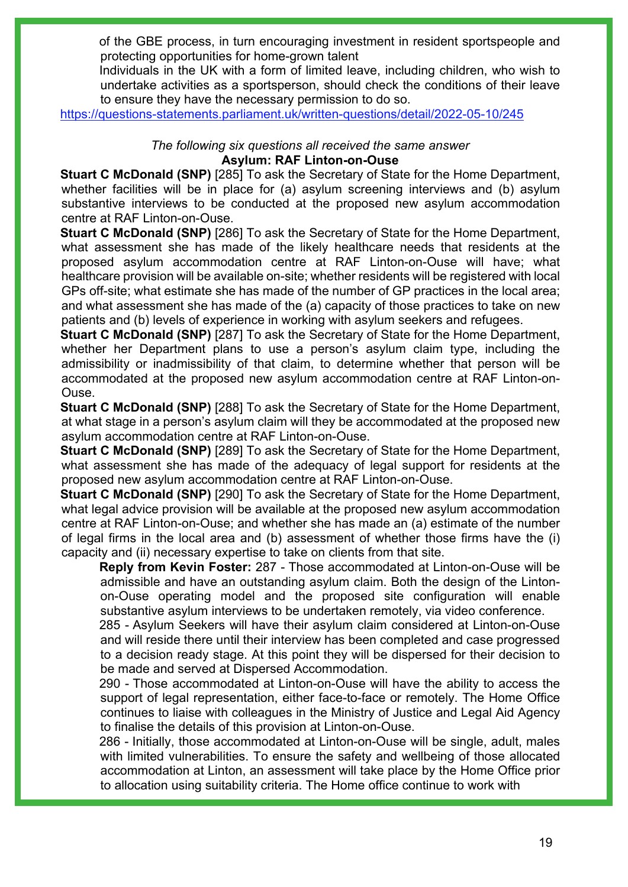of the GBE process, in turn encouraging investment in resident sportspeople and protecting opportunities for home-grown talent

Individuals in the UK with a form of limited leave, including children, who wish to undertake activities as a sportsperson, should check the conditions of their leave to ensure they have the necessary permission to do so.

<https://questions-statements.parliament.uk/written-questions/detail/2022-05-10/245>

#### *The following six questions all received the same answer* **Asylum: RAF Linton-on-Ouse**

**Stuart C McDonald (SNP)** [285] To ask the Secretary of State for the Home Department, whether facilities will be in place for (a) asylum screening interviews and (b) asylum substantive interviews to be conducted at the proposed new asylum accommodation centre at RAF Linton-on-Ouse.

**Stuart C McDonald (SNP)** [286] To ask the Secretary of State for the Home Department, what assessment she has made of the likely healthcare needs that residents at the proposed asylum accommodation centre at RAF Linton-on-Ouse will have; what healthcare provision will be available on-site; whether residents will be registered with local GPs off-site; what estimate she has made of the number of GP practices in the local area; and what assessment she has made of the (a) capacity of those practices to take on new patients and (b) levels of experience in working with asylum seekers and refugees.

**Stuart C McDonald (SNP)** [287] To ask the Secretary of State for the Home Department, whether her Department plans to use a person's asylum claim type, including the admissibility or inadmissibility of that claim, to determine whether that person will be accommodated at the proposed new asylum accommodation centre at RAF Linton-on-Ouse.

**Stuart C McDonald (SNP)** [288] To ask the Secretary of State for the Home Department, at what stage in a person's asylum claim will they be accommodated at the proposed new asylum accommodation centre at RAF Linton-on-Ouse.

**Stuart C McDonald (SNP)** [289] To ask the Secretary of State for the Home Department, what assessment she has made of the adequacy of legal support for residents at the proposed new asylum accommodation centre at RAF Linton-on-Ouse.

**Stuart C McDonald (SNP)** [290] To ask the Secretary of State for the Home Department, what legal advice provision will be available at the proposed new asylum accommodation centre at RAF Linton-on-Ouse; and whether she has made an (a) estimate of the number of legal firms in the local area and (b) assessment of whether those firms have the (i) capacity and (ii) necessary expertise to take on clients from that site.

**Reply from Kevin Foster:** 287 - Those accommodated at Linton-on-Ouse will be admissible and have an outstanding asylum claim. Both the design of the Lintonon-Ouse operating model and the proposed site configuration will enable substantive asylum interviews to be undertaken remotely, via video conference.

285 - Asylum Seekers will have their asylum claim considered at Linton-on-Ouse and will reside there until their interview has been completed and case progressed to a decision ready stage. At this point they will be dispersed for their decision to be made and served at Dispersed Accommodation.

290 - Those accommodated at Linton-on-Ouse will have the ability to access the support of legal representation, either face-to-face or remotely. The Home Office continues to liaise with colleagues in the Ministry of Justice and Legal Aid Agency to finalise the details of this provision at Linton-on-Ouse.

286 - Initially, those accommodated at Linton-on-Ouse will be single, adult, males with limited vulnerabilities. To ensure the safety and wellbeing of those allocated accommodation at Linton, an assessment will take place by the Home Office prior to allocation using suitability criteria. The Home office continue to work with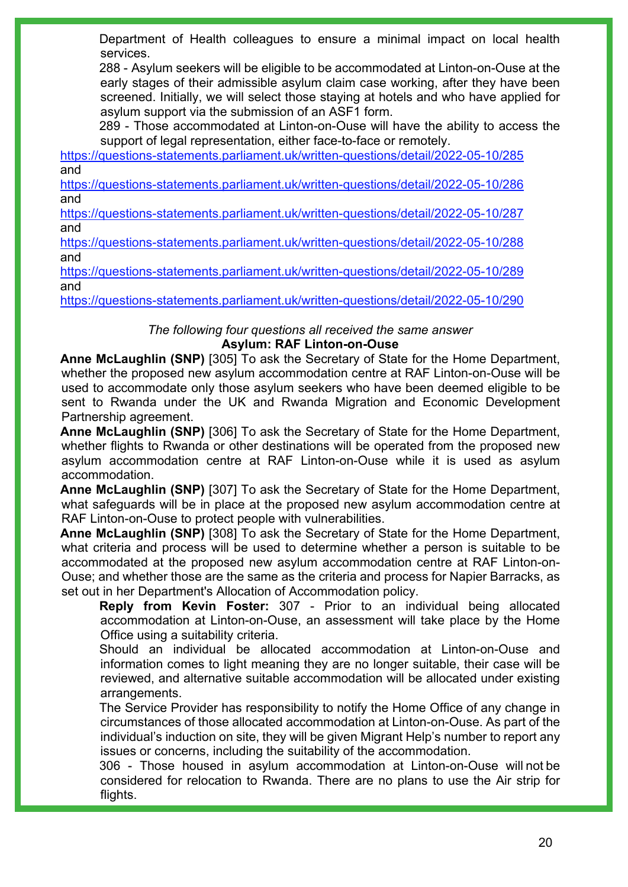Department of Health colleagues to ensure a minimal impact on local health services.

288 - Asylum seekers will be eligible to be accommodated at Linton-on-Ouse at the early stages of their admissible asylum claim case working, after they have been screened. Initially, we will select those staying at hotels and who have applied for asylum support via the submission of an ASF1 form.

289 - Those accommodated at Linton-on-Ouse will have the ability to access the support of legal representation, either face-to-face or remotely.

<https://questions-statements.parliament.uk/written-questions/detail/2022-05-10/285> and

<https://questions-statements.parliament.uk/written-questions/detail/2022-05-10/286> and

<https://questions-statements.parliament.uk/written-questions/detail/2022-05-10/287> and

<https://questions-statements.parliament.uk/written-questions/detail/2022-05-10/288> and

<https://questions-statements.parliament.uk/written-questions/detail/2022-05-10/289> and

<https://questions-statements.parliament.uk/written-questions/detail/2022-05-10/290>

### *The following four questions all received the same answer* **Asylum: RAF Linton-on-Ouse**

**Anne McLaughlin (SNP)** [305] To ask the Secretary of State for the Home Department, whether the proposed new asylum accommodation centre at RAF Linton-on-Ouse will be used to accommodate only those asylum seekers who have been deemed eligible to be sent to Rwanda under the UK and Rwanda Migration and Economic Development Partnership agreement.

**Anne McLaughlin (SNP)** [306] To ask the Secretary of State for the Home Department, whether flights to Rwanda or other destinations will be operated from the proposed new asylum accommodation centre at RAF Linton-on-Ouse while it is used as asylum accommodation.

**Anne McLaughlin (SNP)** [307] To ask the Secretary of State for the Home Department, what safeguards will be in place at the proposed new asylum accommodation centre at RAF Linton-on-Ouse to protect people with vulnerabilities.

**Anne McLaughlin (SNP)** [308] To ask the Secretary of State for the Home Department, what criteria and process will be used to determine whether a person is suitable to be accommodated at the proposed new asylum accommodation centre at RAF Linton-on-Ouse; and whether those are the same as the criteria and process for Napier Barracks, as set out in her Department's Allocation of Accommodation policy.

**Reply from Kevin Foster:** 307 - Prior to an individual being allocated accommodation at Linton-on-Ouse, an assessment will take place by the Home Office using a suitability criteria.

Should an individual be allocated accommodation at Linton-on-Ouse and information comes to light meaning they are no longer suitable, their case will be reviewed, and alternative suitable accommodation will be allocated under existing arrangements.

The Service Provider has responsibility to notify the Home Office of any change in circumstances of those allocated accommodation at Linton-on-Ouse. As part of the individual's induction on site, they will be given Migrant Help's number to report any issues or concerns, including the suitability of the accommodation.

306 - Those housed in asylum accommodation at Linton-on-Ouse will not be considered for relocation to Rwanda. There are no plans to use the Air strip for flights.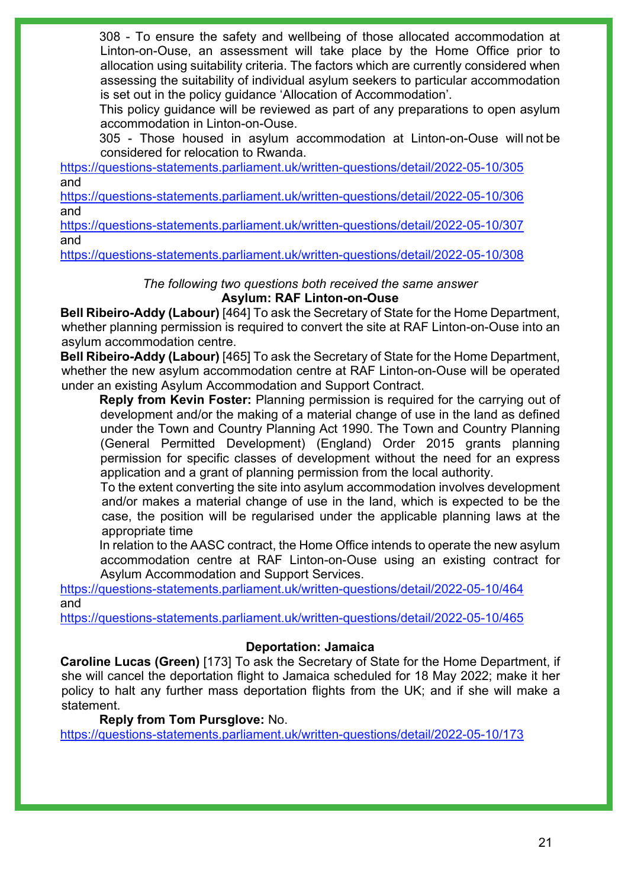308 - To ensure the safety and wellbeing of those allocated accommodation at Linton-on-Ouse, an assessment will take place by the Home Office prior to allocation using suitability criteria. The factors which are currently considered when assessing the suitability of individual asylum seekers to particular accommodation is set out in the policy guidance 'Allocation of Accommodation'.

This policy guidance will be reviewed as part of any preparations to open asylum accommodation in Linton-on-Ouse.

305 - Those housed in asylum accommodation at Linton-on-Ouse will not be considered for relocation to Rwanda.

<https://questions-statements.parliament.uk/written-questions/detail/2022-05-10/305> and

<https://questions-statements.parliament.uk/written-questions/detail/2022-05-10/306> and

<https://questions-statements.parliament.uk/written-questions/detail/2022-05-10/307> and

<https://questions-statements.parliament.uk/written-questions/detail/2022-05-10/308>

### *The following two questions both received the same answer* **Asylum: RAF Linton-on-Ouse**

**Bell Ribeiro-Addy (Labour)** [464] To ask the Secretary of State for the Home Department, whether planning permission is required to convert the site at RAF Linton-on-Ouse into an asylum accommodation centre.

**Bell Ribeiro-Addy (Labour)** [465] To ask the Secretary of State for the Home Department, whether the new asylum accommodation centre at RAF Linton-on-Ouse will be operated under an existing Asylum Accommodation and Support Contract.

**Reply from Kevin Foster:** Planning permission is required for the carrying out of development and/or the making of a material change of use in the land as defined under the Town and Country Planning Act 1990. The Town and Country Planning (General Permitted Development) (England) Order 2015 grants planning permission for specific classes of development without the need for an express application and a grant of planning permission from the local authority.

To the extent converting the site into asylum accommodation involves development and/or makes a material change of use in the land, which is expected to be the case, the position will be regularised under the applicable planning laws at the appropriate time

In relation to the AASC contract, the Home Office intends to operate the new asylum accommodation centre at RAF Linton-on-Ouse using an existing contract for Asylum Accommodation and Support Services.

<https://questions-statements.parliament.uk/written-questions/detail/2022-05-10/464> and

<https://questions-statements.parliament.uk/written-questions/detail/2022-05-10/465>

### **Deportation: Jamaica**

**Caroline Lucas (Green)** [173] To ask the Secretary of State for the Home Department, if she will cancel the deportation flight to Jamaica scheduled for 18 May 2022; make it her policy to halt any further mass deportation flights from the UK; and if she will make a statement.

### **Reply from Tom Pursglove:** No.

<https://questions-statements.parliament.uk/written-questions/detail/2022-05-10/173>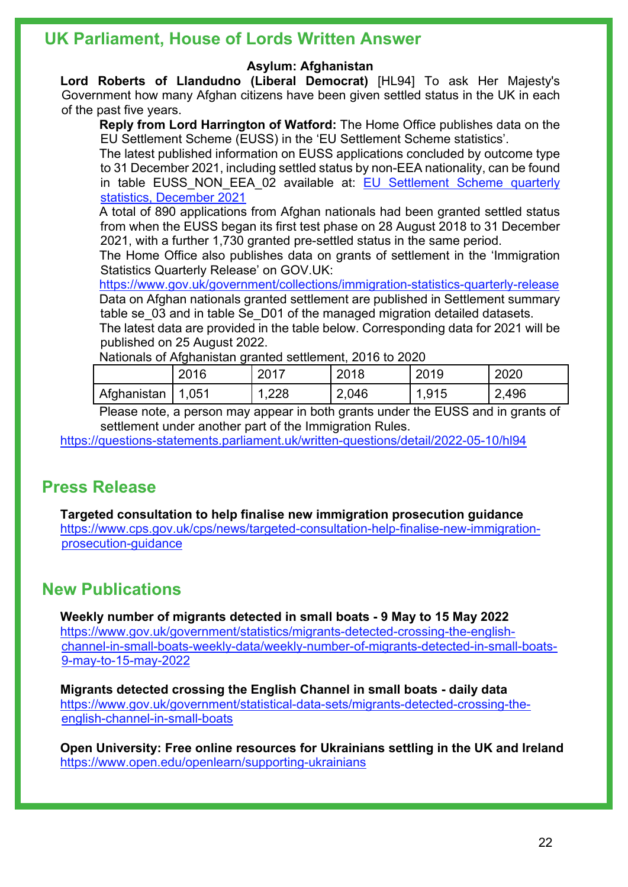### **UK Parliament, House of Lords Written Answer**

#### **Asylum: Afghanistan**

**Lord Roberts of Llandudno (Liberal Democrat)** [HL94] To ask Her Majesty's Government how many Afghan citizens have been given settled status in the UK in each of the past five years.

**Reply from Lord Harrington of Watford:** The Home Office publishes data on the EU Settlement Scheme (EUSS) in the 'EU Settlement Scheme statistics'.

The latest published information on EUSS applications concluded by outcome type to 31 December 2021, including settled status by non-EEA nationality, can be found in table EUSS NON EEA 02 available at: EU Settlement Scheme quarterly [statistics, December 2021](https://www.gov.uk/government/statistics/eu-settlement-scheme-quarterly-statistics-december-2021/eu-settlement-scheme-quarterly-statistics-december-2021) 

A total of 890 applications from Afghan nationals had been granted settled status from when the EUSS began its first test phase on 28 August 2018 to 31 December 2021, with a further 1,730 granted pre-settled status in the same period.

The Home Office also publishes data on grants of settlement in the 'Immigration Statistics Quarterly Release' on GOV.UK:

<https://www.gov.uk/government/collections/immigration-statistics-quarterly-release> Data on Afghan nationals granted settlement are published in Settlement summary table se 03 and in table Se D01 of the managed migration detailed datasets.

The latest data are provided in the table below. Corresponding data for 2021 will be published on 25 August 2022.

Nationals of Afghanistan granted settlement, 2016 to 2020.

|             | 2016       | 2017 | 2018  | 2019 | 2020  |
|-------------|------------|------|-------|------|-------|
| Afghanistan | .051<br>-1 | ,228 | 2,046 | .915 | 2,496 |

Please note, a person may appear in both grants under the EUSS and in grants of settlement under another part of the Immigration Rules.

<https://questions-statements.parliament.uk/written-questions/detail/2022-05-10/hl94>

### **Press Release**

**Targeted consultation to help finalise new immigration prosecution guidance** [https://www.cps.gov.uk/cps/news/targeted-consultation-help-finalise-new-immigration](https://www.cps.gov.uk/cps/news/targeted-consultation-help-finalise-new-immigration-prosecution-guidance)[prosecution-guidance](https://www.cps.gov.uk/cps/news/targeted-consultation-help-finalise-new-immigration-prosecution-guidance) 

### **New Publications**

**Weekly number of migrants detected in small boats - 9 May to 15 May 2022** [https://www.gov.uk/government/statistics/migrants-detected-crossing-the-english](https://www.gov.uk/government/statistics/migrants-detected-crossing-the-english-channel-in-small-boats-weekly-data/weekly-number-of-migrants-detected-in-small-boats-9-may-to-15-may-2022)[channel-in-small-boats-weekly-data/weekly-number-of-migrants-detected-in-small-boats-](https://www.gov.uk/government/statistics/migrants-detected-crossing-the-english-channel-in-small-boats-weekly-data/weekly-number-of-migrants-detected-in-small-boats-9-may-to-15-may-2022)[9-may-to-15-may-2022](https://www.gov.uk/government/statistics/migrants-detected-crossing-the-english-channel-in-small-boats-weekly-data/weekly-number-of-migrants-detected-in-small-boats-9-may-to-15-may-2022) 

**Migrants detected crossing the English Channel in small boats - daily data** [https://www.gov.uk/government/statistical-data-sets/migrants-detected-crossing-the](https://www.gov.uk/government/statistical-data-sets/migrants-detected-crossing-the-english-channel-in-small-boats)[english-channel-in-small-boats](https://www.gov.uk/government/statistical-data-sets/migrants-detected-crossing-the-english-channel-in-small-boats) 

**Open University: Free online resources for Ukrainians settling in the UK and Ireland** <https://www.open.edu/openlearn/supporting-ukrainians>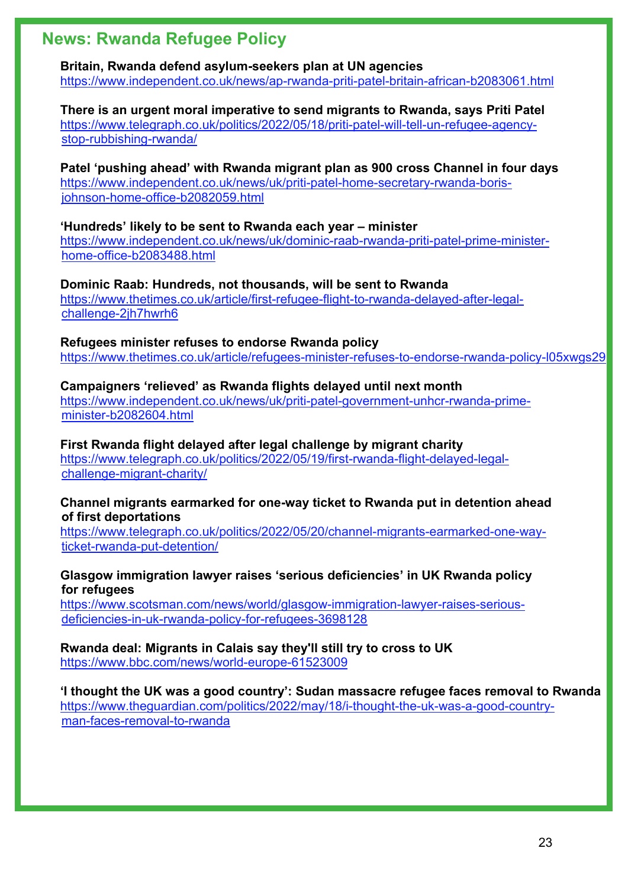### **News: Rwanda Refugee Policy**

**Britain, Rwanda defend asylum-seekers plan at UN agencies**  <https://www.independent.co.uk/news/ap-rwanda-priti-patel-britain-african-b2083061.html>

**There is an urgent moral imperative to send migrants to Rwanda, says Priti Patel** [https://www.telegraph.co.uk/politics/2022/05/18/priti-patel-will-tell-un-refugee-agency](https://www.telegraph.co.uk/politics/2022/05/18/priti-patel-will-tell-un-refugee-agency-stop-rubbishing-rwanda/)[stop-rubbishing-rwanda/](https://www.telegraph.co.uk/politics/2022/05/18/priti-patel-will-tell-un-refugee-agency-stop-rubbishing-rwanda/)

**Patel 'pushing ahead' with Rwanda migrant plan as 900 cross Channel in four days**  [https://www.independent.co.uk/news/uk/priti-patel-home-secretary-rwanda-boris](https://www.independent.co.uk/news/uk/priti-patel-home-secretary-rwanda-boris-johnson-home-office-b2082059.html)[johnson-home-office-b2082059.html](https://www.independent.co.uk/news/uk/priti-patel-home-secretary-rwanda-boris-johnson-home-office-b2082059.html)

#### **'Hundreds' likely to be sent to Rwanda each year – minister**

[https://www.independent.co.uk/news/uk/dominic-raab-rwanda-priti-patel-prime-minister](https://www.independent.co.uk/news/uk/dominic-raab-rwanda-priti-patel-prime-minister-home-office-b2083488.html)[home-office-b2083488.html](https://www.independent.co.uk/news/uk/dominic-raab-rwanda-priti-patel-prime-minister-home-office-b2083488.html)

**Dominic Raab: Hundreds, not thousands, will be sent to Rwanda**  [https://www.thetimes.co.uk/article/first-refugee-flight-to-rwanda-delayed-after-legal](https://www.thetimes.co.uk/article/first-refugee-flight-to-rwanda-delayed-after-legal-challenge-2jh7hwrh6)[challenge-2jh7hwrh6](https://www.thetimes.co.uk/article/first-refugee-flight-to-rwanda-delayed-after-legal-challenge-2jh7hwrh6)

**Refugees minister refuses to endorse Rwanda policy**  <https://www.thetimes.co.uk/article/refugees-minister-refuses-to-endorse-rwanda-policy-l05xwgs29>

**Campaigners 'relieved' as Rwanda flights delayed until next month**  [https://www.independent.co.uk/news/uk/priti-patel-government-unhcr-rwanda-prime](https://www.independent.co.uk/news/uk/priti-patel-government-unhcr-rwanda-prime-minister-b2082604.html)[minister-b2082604.html](https://www.independent.co.uk/news/uk/priti-patel-government-unhcr-rwanda-prime-minister-b2082604.html)

**First Rwanda flight delayed after legal challenge by migrant charity** [https://www.telegraph.co.uk/politics/2022/05/19/first-rwanda-flight-delayed-legal](https://www.telegraph.co.uk/politics/2022/05/19/first-rwanda-flight-delayed-legal-challenge-migrant-charity/)[challenge-migrant-charity/](https://www.telegraph.co.uk/politics/2022/05/19/first-rwanda-flight-delayed-legal-challenge-migrant-charity/)

#### **Channel migrants earmarked for one-way ticket to Rwanda put in detention ahead of first deportations**

[https://www.telegraph.co.uk/politics/2022/05/20/channel-migrants-earmarked-one-way](https://www.telegraph.co.uk/politics/2022/05/20/channel-migrants-earmarked-one-way-ticket-rwanda-put-detention/)[ticket-rwanda-put-detention/](https://www.telegraph.co.uk/politics/2022/05/20/channel-migrants-earmarked-one-way-ticket-rwanda-put-detention/)

### **Glasgow immigration lawyer raises 'serious deficiencies' in UK Rwanda policy for refugees**

[https://www.scotsman.com/news/world/glasgow-immigration-lawyer-raises-serious](https://www.scotsman.com/news/world/glasgow-immigration-lawyer-raises-serious-deficiencies-in-uk-rwanda-policy-for-refugees-3698128)[deficiencies-in-uk-rwanda-policy-for-refugees-3698128](https://www.scotsman.com/news/world/glasgow-immigration-lawyer-raises-serious-deficiencies-in-uk-rwanda-policy-for-refugees-3698128)

**Rwanda deal: Migrants in Calais say they'll still try to cross to UK** <https://www.bbc.com/news/world-europe-61523009>

### **'I thought the UK was a good country': Sudan massacre refugee faces removal to Rwanda** [https://www.theguardian.com/politics/2022/may/18/i-thought-the-uk-was-a-good-country](https://www.theguardian.com/politics/2022/may/18/i-thought-the-uk-was-a-good-country-man-faces-removal-to-rwanda)[man-faces-removal-to-rwanda](https://www.theguardian.com/politics/2022/may/18/i-thought-the-uk-was-a-good-country-man-faces-removal-to-rwanda)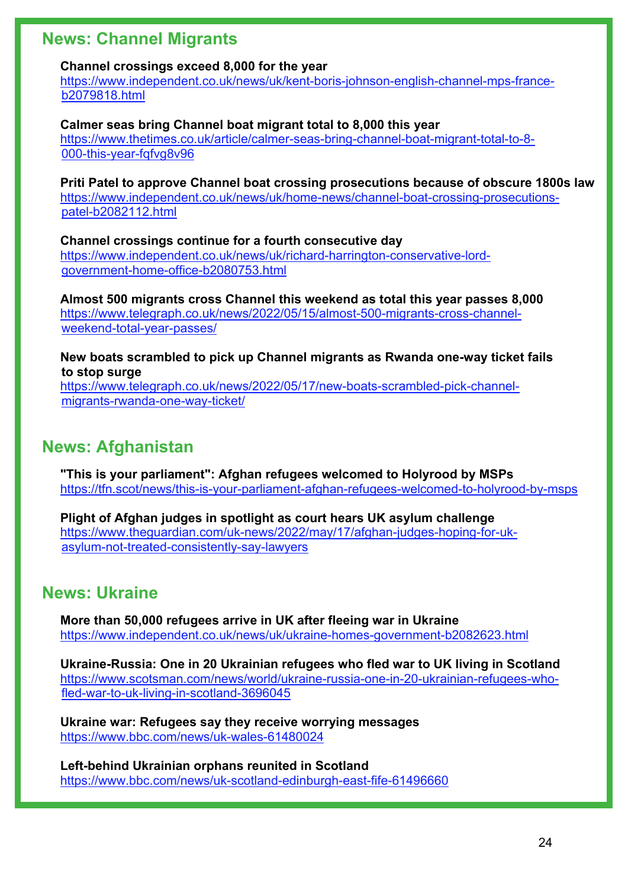### **News: Channel Migrants**

#### **Channel crossings exceed 8,000 for the year**

[https://www.independent.co.uk/news/uk/kent-boris-johnson-english-channel-mps-france](https://www.independent.co.uk/news/uk/kent-boris-johnson-english-channel-mps-france-b2079818.html)[b2079818.html](https://www.independent.co.uk/news/uk/kent-boris-johnson-english-channel-mps-france-b2079818.html)

**Calmer seas bring Channel boat migrant total to 8,000 this year**  [https://www.thetimes.co.uk/article/calmer-seas-bring-channel-boat-migrant-total-to-8-](https://www.thetimes.co.uk/article/calmer-seas-bring-channel-boat-migrant-total-to-8-000-this-year-fqfvg8v96) [000-this-year-fqfvg8v96](https://www.thetimes.co.uk/article/calmer-seas-bring-channel-boat-migrant-total-to-8-000-this-year-fqfvg8v96)

**Priti Patel to approve Channel boat crossing prosecutions because of obscure 1800s law**  [https://www.independent.co.uk/news/uk/home-news/channel-boat-crossing-prosecutions](https://www.independent.co.uk/news/uk/home-news/channel-boat-crossing-prosecutions-patel-b2082112.html)[patel-b2082112.html](https://www.independent.co.uk/news/uk/home-news/channel-boat-crossing-prosecutions-patel-b2082112.html)

**Channel crossings continue for a fourth consecutive day**  [https://www.independent.co.uk/news/uk/richard-harrington-conservative-lord](https://www.independent.co.uk/news/uk/richard-harrington-conservative-lord-government-home-office-b2080753.html)[government-home-office-b2080753.html](https://www.independent.co.uk/news/uk/richard-harrington-conservative-lord-government-home-office-b2080753.html)

**Almost 500 migrants cross Channel this weekend as total this year passes 8,000** [https://www.telegraph.co.uk/news/2022/05/15/almost-500-migrants-cross-channel](https://www.telegraph.co.uk/news/2022/05/15/almost-500-migrants-cross-channel-weekend-total-year-passes/)[weekend-total-year-passes/](https://www.telegraph.co.uk/news/2022/05/15/almost-500-migrants-cross-channel-weekend-total-year-passes/)

**New boats scrambled to pick up Channel migrants as Rwanda one-way ticket fails to stop surge**

[https://www.telegraph.co.uk/news/2022/05/17/new-boats-scrambled-pick-channel](https://www.telegraph.co.uk/news/2022/05/17/new-boats-scrambled-pick-channel-migrants-rwanda-one-way-ticket/)[migrants-rwanda-one-way-ticket/](https://www.telegraph.co.uk/news/2022/05/17/new-boats-scrambled-pick-channel-migrants-rwanda-one-way-ticket/)

### **News: Afghanistan**

**"This is your parliament": Afghan refugees welcomed to Holyrood by MSPs** <https://tfn.scot/news/this-is-your-parliament-afghan-refugees-welcomed-to-holyrood-by-msps>

**Plight of Afghan judges in spotlight as court hears UK asylum challenge**  [https://www.theguardian.com/uk-news/2022/may/17/afghan-judges-hoping-for-uk](https://www.theguardian.com/uk-news/2022/may/17/afghan-judges-hoping-for-uk-asylum-not-treated-consistently-say-lawyers)[asylum-not-treated-consistently-say-lawyers](https://www.theguardian.com/uk-news/2022/may/17/afghan-judges-hoping-for-uk-asylum-not-treated-consistently-say-lawyers)

### **News: Ukraine**

**More than 50,000 refugees arrive in UK after fleeing war in Ukraine**  <https://www.independent.co.uk/news/uk/ukraine-homes-government-b2082623.html>

**Ukraine-Russia: One in 20 Ukrainian refugees who fled war to UK living in Scotland** [https://www.scotsman.com/news/world/ukraine-russia-one-in-20-ukrainian-refugees-who](https://www.scotsman.com/news/world/ukraine-russia-one-in-20-ukrainian-refugees-who-fled-war-to-uk-living-in-scotland-3696045)[fled-war-to-uk-living-in-scotland-3696045](https://www.scotsman.com/news/world/ukraine-russia-one-in-20-ukrainian-refugees-who-fled-war-to-uk-living-in-scotland-3696045) 

**Ukraine war: Refugees say they receive worrying messages** <https://www.bbc.com/news/uk-wales-61480024>

**Left-behind Ukrainian orphans reunited in Scotland** <https://www.bbc.com/news/uk-scotland-edinburgh-east-fife-61496660>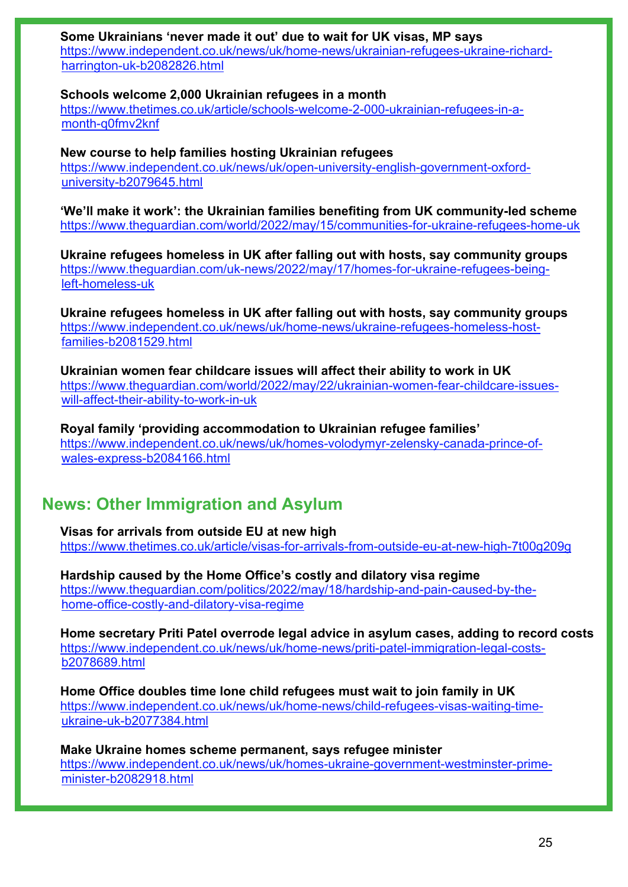### **Some Ukrainians 'never made it out' due to wait for UK visas, MP says**

[https://www.independent.co.uk/news/uk/home-news/ukrainian-refugees-ukraine-richard](https://www.independent.co.uk/news/uk/home-news/ukrainian-refugees-ukraine-richard-harrington-uk-b2082826.html)[harrington-uk-b2082826.html](https://www.independent.co.uk/news/uk/home-news/ukrainian-refugees-ukraine-richard-harrington-uk-b2082826.html)

#### **Schools welcome 2,000 Ukrainian refugees in a month**

[https://www.thetimes.co.uk/article/schools-welcome-2-000-ukrainian-refugees-in-a](https://www.thetimes.co.uk/article/schools-welcome-2-000-ukrainian-refugees-in-a-month-q0fmv2knf)[month-q0fmv2knf](https://www.thetimes.co.uk/article/schools-welcome-2-000-ukrainian-refugees-in-a-month-q0fmv2knf)

#### **New course to help families hosting Ukrainian refugees**

[https://www.independent.co.uk/news/uk/open-university-english-government-oxford](https://www.independent.co.uk/news/uk/open-university-english-government-oxford-university-b2079645.html)[university-b2079645.html](https://www.independent.co.uk/news/uk/open-university-english-government-oxford-university-b2079645.html)

**'We'll make it work': the Ukrainian families benefiting from UK community-led scheme**  <https://www.theguardian.com/world/2022/may/15/communities-for-ukraine-refugees-home-uk>

**Ukraine refugees homeless in UK after falling out with hosts, say community groups**  [https://www.theguardian.com/uk-news/2022/may/17/homes-for-ukraine-refugees-being](https://www.theguardian.com/uk-news/2022/may/17/homes-for-ukraine-refugees-being-left-homeless-uk)[left-homeless-uk](https://www.theguardian.com/uk-news/2022/may/17/homes-for-ukraine-refugees-being-left-homeless-uk)

**Ukraine refugees homeless in UK after falling out with hosts, say community groups**  [https://www.independent.co.uk/news/uk/home-news/ukraine-refugees-homeless-host](https://www.independent.co.uk/news/uk/home-news/ukraine-refugees-homeless-host-families-b2081529.html)[families-b2081529.html](https://www.independent.co.uk/news/uk/home-news/ukraine-refugees-homeless-host-families-b2081529.html)

**Ukrainian women fear childcare issues will affect their ability to work in UK**  [https://www.theguardian.com/world/2022/may/22/ukrainian-women-fear-childcare-issues](https://www.theguardian.com/world/2022/may/22/ukrainian-women-fear-childcare-issues-will-affect-their-ability-to-work-in-uk)[will-affect-their-ability-to-work-in-uk](https://www.theguardian.com/world/2022/may/22/ukrainian-women-fear-childcare-issues-will-affect-their-ability-to-work-in-uk)

**Royal family 'providing accommodation to Ukrainian refugee families'**  [https://www.independent.co.uk/news/uk/homes-volodymyr-zelensky-canada-prince-of](https://www.independent.co.uk/news/uk/homes-volodymyr-zelensky-canada-prince-of-wales-express-b2084166.html)[wales-express-b2084166.html](https://www.independent.co.uk/news/uk/homes-volodymyr-zelensky-canada-prince-of-wales-express-b2084166.html)

### **News: Other Immigration and Asylum**

**Visas for arrivals from outside EU at new high**  <https://www.thetimes.co.uk/article/visas-for-arrivals-from-outside-eu-at-new-high-7t00g209g>

**Hardship caused by the Home Office's costly and dilatory visa regime**  [https://www.theguardian.com/politics/2022/may/18/hardship-and-pain-caused-by-the](https://www.theguardian.com/politics/2022/may/18/hardship-and-pain-caused-by-the-home-office-costly-and-dilatory-visa-regime)[home-office-costly-and-dilatory-visa-regime](https://www.theguardian.com/politics/2022/may/18/hardship-and-pain-caused-by-the-home-office-costly-and-dilatory-visa-regime)

**Home secretary Priti Patel overrode legal advice in asylum cases, adding to record costs**  [https://www.independent.co.uk/news/uk/home-news/priti-patel-immigration-legal-costs](https://www.independent.co.uk/news/uk/home-news/priti-patel-immigration-legal-costs-b2078689.html)[b2078689.html](https://www.independent.co.uk/news/uk/home-news/priti-patel-immigration-legal-costs-b2078689.html)

**Home Office doubles time lone child refugees must wait to join family in UK**  [https://www.independent.co.uk/news/uk/home-news/child-refugees-visas-waiting-time](https://www.independent.co.uk/news/uk/home-news/child-refugees-visas-waiting-time-ukraine-uk-b2077384.html)[ukraine-uk-b2077384.html](https://www.independent.co.uk/news/uk/home-news/child-refugees-visas-waiting-time-ukraine-uk-b2077384.html)

**Make Ukraine homes scheme permanent, says refugee minister**  [https://www.independent.co.uk/news/uk/homes-ukraine-government-westminster-prime](https://www.independent.co.uk/news/uk/homes-ukraine-government-westminster-prime-minister-b2082918.html)[minister-b2082918.html](https://www.independent.co.uk/news/uk/homes-ukraine-government-westminster-prime-minister-b2082918.html)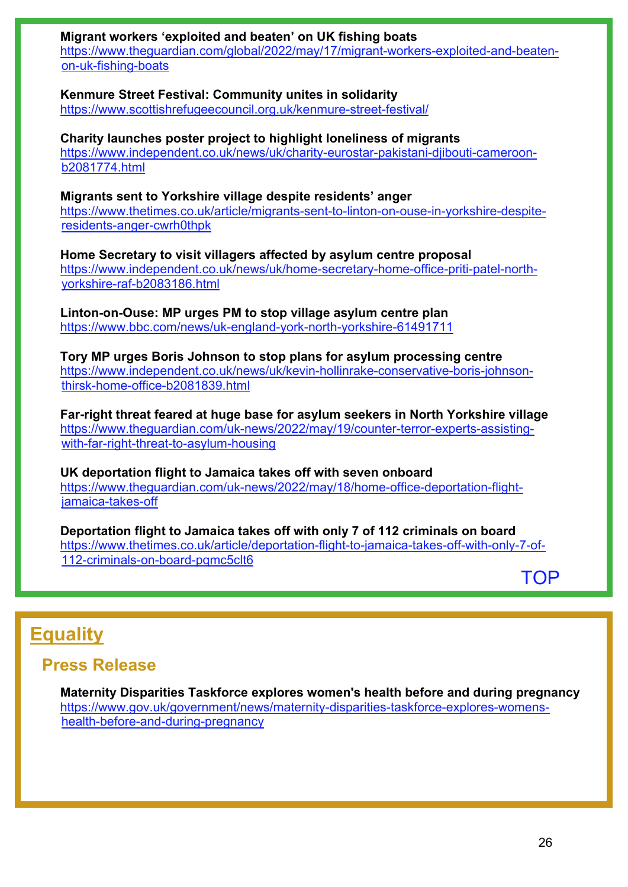**Migrant workers 'exploited and beaten' on UK fishing boats**  [https://www.theguardian.com/global/2022/may/17/migrant-workers-exploited-and-beaten-](https://www.theguardian.com/global/2022/may/17/migrant-workers-exploited-and-beaten-on-uk-fishing-boats)

[on-uk-fishing-boats](https://www.theguardian.com/global/2022/may/17/migrant-workers-exploited-and-beaten-on-uk-fishing-boats)

**Kenmure Street Festival: Community unites in solidarity**

<https://www.scottishrefugeecouncil.org.uk/kenmure-street-festival/>

**Charity launches poster project to highlight loneliness of migrants**  [https://www.independent.co.uk/news/uk/charity-eurostar-pakistani-djibouti-cameroon](https://www.independent.co.uk/news/uk/charity-eurostar-pakistani-djibouti-cameroon-b2081774.html)[b2081774.html](https://www.independent.co.uk/news/uk/charity-eurostar-pakistani-djibouti-cameroon-b2081774.html)

**Migrants sent to Yorkshire village despite residents' anger**  [https://www.thetimes.co.uk/article/migrants-sent-to-linton-on-ouse-in-yorkshire-despite](https://www.thetimes.co.uk/article/migrants-sent-to-linton-on-ouse-in-yorkshire-despite-residents-anger-cwrh0thpk)[residents-anger-cwrh0thpk](https://www.thetimes.co.uk/article/migrants-sent-to-linton-on-ouse-in-yorkshire-despite-residents-anger-cwrh0thpk)

**Home Secretary to visit villagers affected by asylum centre proposal**  [https://www.independent.co.uk/news/uk/home-secretary-home-office-priti-patel-north](https://www.independent.co.uk/news/uk/home-secretary-home-office-priti-patel-north-yorkshire-raf-b2083186.html)[yorkshire-raf-b2083186.html](https://www.independent.co.uk/news/uk/home-secretary-home-office-priti-patel-north-yorkshire-raf-b2083186.html)

**Linton-on-Ouse: MP urges PM to stop village asylum centre plan** <https://www.bbc.com/news/uk-england-york-north-yorkshire-61491711>

**Tory MP urges Boris Johnson to stop plans for asylum processing centre**  [https://www.independent.co.uk/news/uk/kevin-hollinrake-conservative-boris-johnson](https://www.independent.co.uk/news/uk/kevin-hollinrake-conservative-boris-johnson-thirsk-home-office-b2081839.html)[thirsk-home-office-b2081839.html](https://www.independent.co.uk/news/uk/kevin-hollinrake-conservative-boris-johnson-thirsk-home-office-b2081839.html)

**Far-right threat feared at huge base for asylum seekers in North Yorkshire village**  [https://www.theguardian.com/uk-news/2022/may/19/counter-terror-experts-assisting](https://www.theguardian.com/uk-news/2022/may/19/counter-terror-experts-assisting-with-far-right-threat-to-asylum-housing)[with-far-right-threat-to-asylum-housing](https://www.theguardian.com/uk-news/2022/may/19/counter-terror-experts-assisting-with-far-right-threat-to-asylum-housing)

**UK deportation flight to Jamaica takes off with seven onboard**  [https://www.theguardian.com/uk-news/2022/may/18/home-office-deportation-flight](https://www.theguardian.com/uk-news/2022/may/18/home-office-deportation-flight-jamaica-takes-off)[jamaica-takes-off](https://www.theguardian.com/uk-news/2022/may/18/home-office-deportation-flight-jamaica-takes-off)

**Deportation flight to Jamaica takes off with only 7 of 112 criminals on board**  [https://www.thetimes.co.uk/article/deportation-flight-to-jamaica-takes-off-with-only-7-of-](https://www.thetimes.co.uk/article/deportation-flight-to-jamaica-takes-off-with-only-7-of-112-criminals-on-board-pqmc5clt6)[112-criminals-on-board-pqmc5clt6](https://www.thetimes.co.uk/article/deportation-flight-to-jamaica-takes-off-with-only-7-of-112-criminals-on-board-pqmc5clt6)

[TOP](#page-0-1)

# <span id="page-25-0"></span>**Equality**

### **Press Release**

**Maternity Disparities Taskforce explores women's health before and during pregnancy** [https://www.gov.uk/government/news/maternity-disparities-taskforce-explores-womens](https://www.gov.uk/government/news/maternity-disparities-taskforce-explores-womens-health-before-and-during-pregnancy)[health-before-and-during-pregnancy](https://www.gov.uk/government/news/maternity-disparities-taskforce-explores-womens-health-before-and-during-pregnancy)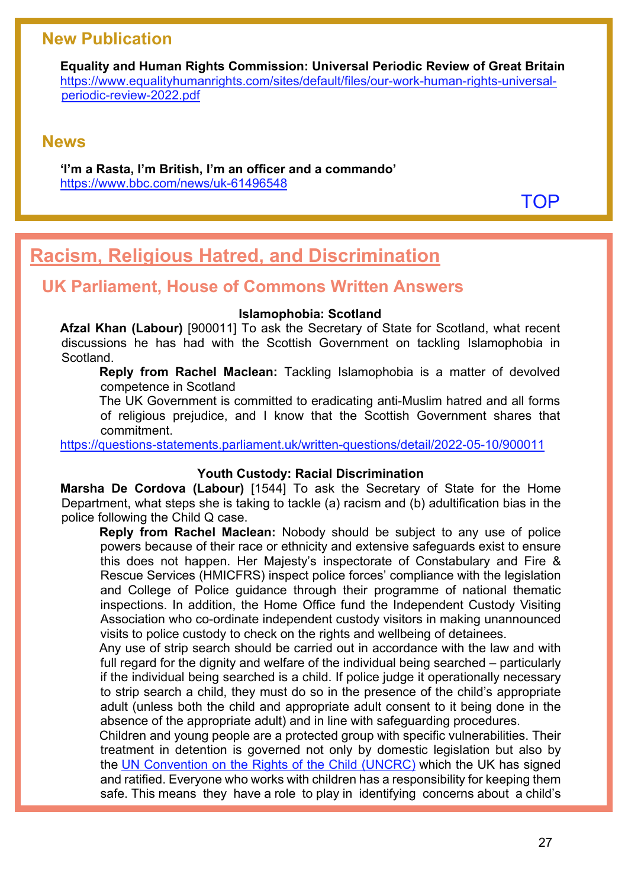### **New Publication**

**Equality and Human Rights Commission: Universal Periodic Review of Great Britain** [https://www.equalityhumanrights.com/sites/default/files/our-work-human-rights-universal](https://www.equalityhumanrights.com/sites/default/files/our-work-human-rights-universal-periodic-review-2022.pdf)[periodic-review-2022.pdf](https://www.equalityhumanrights.com/sites/default/files/our-work-human-rights-universal-periodic-review-2022.pdf) 

### **News**

**'I'm a Rasta, I'm British, I'm an officer and a commando'** <https://www.bbc.com/news/uk-61496548>

**[TOP](#page-0-1)** 

# <span id="page-26-0"></span>**Racism, Religious Hatred, and Discrimination**

### **UK Parliament, House of Commons Written Answers**

#### **Islamophobia: Scotland**

**Afzal Khan (Labour)** [900011] To ask the Secretary of State for Scotland, what recent discussions he has had with the Scottish Government on tackling Islamophobia in Scotland.

**Reply from Rachel Maclean:** Tackling Islamophobia is a matter of devolved competence in Scotland

The UK Government is committed to eradicating anti-Muslim hatred and all forms of religious prejudice, and I know that the Scottish Government shares that commitment.

<https://questions-statements.parliament.uk/written-questions/detail/2022-05-10/900011>

### **Youth Custody: Racial Discrimination**

**Marsha De Cordova (Labour)** [1544] To ask the Secretary of State for the Home Department, what steps she is taking to tackle (a) racism and (b) adultification bias in the police following the Child Q case.

**Reply from Rachel Maclean:** Nobody should be subject to any use of police powers because of their race or ethnicity and extensive safeguards exist to ensure this does not happen. Her Majesty's inspectorate of Constabulary and Fire & Rescue Services (HMICFRS) inspect police forces' compliance with the legislation and College of Police guidance through their programme of national thematic inspections. In addition, the Home Office fund the Independent Custody Visiting Association who co-ordinate independent custody visitors in making unannounced visits to police custody to check on the rights and wellbeing of detainees.

Any use of strip search should be carried out in accordance with the law and with full regard for the dignity and welfare of the individual being searched – particularly if the individual being searched is a child. If police judge it operationally necessary to strip search a child, they must do so in the presence of the child's appropriate adult (unless both the child and appropriate adult consent to it being done in the absence of the appropriate adult) and in line with safeguarding procedures.

Children and young people are a protected group with specific vulnerabilities. Their treatment in detention is governed not only by domestic legislation but also by the [UN Convention on the Rights of the Child \(UNCRC\)](http://www.ohchr.org/EN/ProfessionalInterest/Pages/CRC.aspx) which the UK has signed and ratified. Everyone who works with children has a responsibility for keeping them safe. This means they have a role to play in identifying concerns about a child's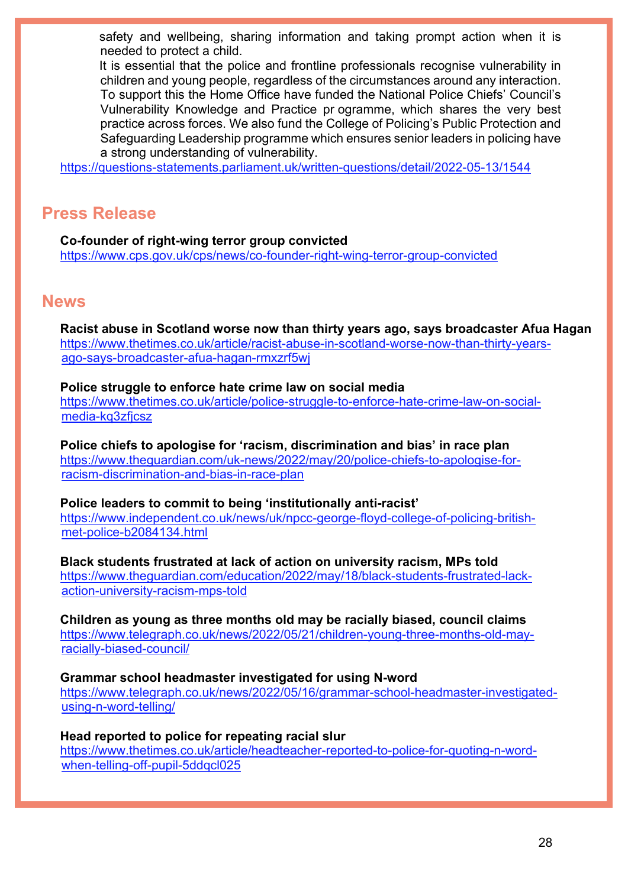safety and wellbeing, sharing information and taking prompt action when it is needed to protect a child.

It is essential that the police and frontline professionals recognise vulnerability in children and young people, regardless of the circumstances around any interaction. To support this the Home Office have funded the National Police Chiefs' Council's Vulnerability Knowledge and Practice pr ogramme, which shares the very best practice across forces. We also fund the College of Policing's Public Protection and Safeguarding Leadership programme which ensures senior leaders in policing have a strong understanding of vulnerability.

<https://questions-statements.parliament.uk/written-questions/detail/2022-05-13/1544>

### **Press Release**

**Co-founder of right-wing terror group convicted** <https://www.cps.gov.uk/cps/news/co-founder-right-wing-terror-group-convicted>

### **News**

**Racist abuse in Scotland worse now than thirty years ago, says broadcaster Afua Hagan**  [https://www.thetimes.co.uk/article/racist-abuse-in-scotland-worse-now-than-thirty-years](https://www.thetimes.co.uk/article/racist-abuse-in-scotland-worse-now-than-thirty-years-ago-says-broadcaster-afua-hagan-rmxzrf5wj)[ago-says-broadcaster-afua-hagan-rmxzrf5wj](https://www.thetimes.co.uk/article/racist-abuse-in-scotland-worse-now-than-thirty-years-ago-says-broadcaster-afua-hagan-rmxzrf5wj)

**Police struggle to enforce hate crime law on social media**  [https://www.thetimes.co.uk/article/police-struggle-to-enforce-hate-crime-law-on-social](https://www.thetimes.co.uk/article/police-struggle-to-enforce-hate-crime-law-on-social-media-kq3zfjcsz)[media-kq3zfjcsz](https://www.thetimes.co.uk/article/police-struggle-to-enforce-hate-crime-law-on-social-media-kq3zfjcsz)

**Police chiefs to apologise for 'racism, discrimination and bias' in race plan**  [https://www.theguardian.com/uk-news/2022/may/20/police-chiefs-to-apologise-for](https://www.theguardian.com/uk-news/2022/may/20/police-chiefs-to-apologise-for-racism-discrimination-and-bias-in-race-plan)[racism-discrimination-and-bias-in-race-plan](https://www.theguardian.com/uk-news/2022/may/20/police-chiefs-to-apologise-for-racism-discrimination-and-bias-in-race-plan)

**Police leaders to commit to being 'institutionally anti-racist'**  [https://www.independent.co.uk/news/uk/npcc-george-floyd-college-of-policing-british](https://www.independent.co.uk/news/uk/npcc-george-floyd-college-of-policing-british-met-police-b2084134.html)[met-police-b2084134.html](https://www.independent.co.uk/news/uk/npcc-george-floyd-college-of-policing-british-met-police-b2084134.html)

**Black students frustrated at lack of action on university racism, MPs told**  [https://www.theguardian.com/education/2022/may/18/black-students-frustrated-lack](https://www.theguardian.com/education/2022/may/18/black-students-frustrated-lack-action-university-racism-mps-told)[action-university-racism-mps-told](https://www.theguardian.com/education/2022/may/18/black-students-frustrated-lack-action-university-racism-mps-told)

**Children as young as three months old may be racially biased, council claims** [https://www.telegraph.co.uk/news/2022/05/21/children-young-three-months-old-may](https://www.telegraph.co.uk/news/2022/05/21/children-young-three-months-old-may-racially-biased-council/)[racially-biased-council/](https://www.telegraph.co.uk/news/2022/05/21/children-young-three-months-old-may-racially-biased-council/)

**Grammar school headmaster investigated for using N-word** [https://www.telegraph.co.uk/news/2022/05/16/grammar-school-headmaster-investigated](https://www.telegraph.co.uk/news/2022/05/16/grammar-school-headmaster-investigated-using-n-word-telling/)[using-n-word-telling/](https://www.telegraph.co.uk/news/2022/05/16/grammar-school-headmaster-investigated-using-n-word-telling/)

**Head reported to police for repeating racial slur**  [https://www.thetimes.co.uk/article/headteacher-reported-to-police-for-quoting-n-word](https://www.thetimes.co.uk/article/headteacher-reported-to-police-for-quoting-n-word-when-telling-off-pupil-5ddqcl025)[when-telling-off-pupil-5ddqcl025](https://www.thetimes.co.uk/article/headteacher-reported-to-police-for-quoting-n-word-when-telling-off-pupil-5ddqcl025)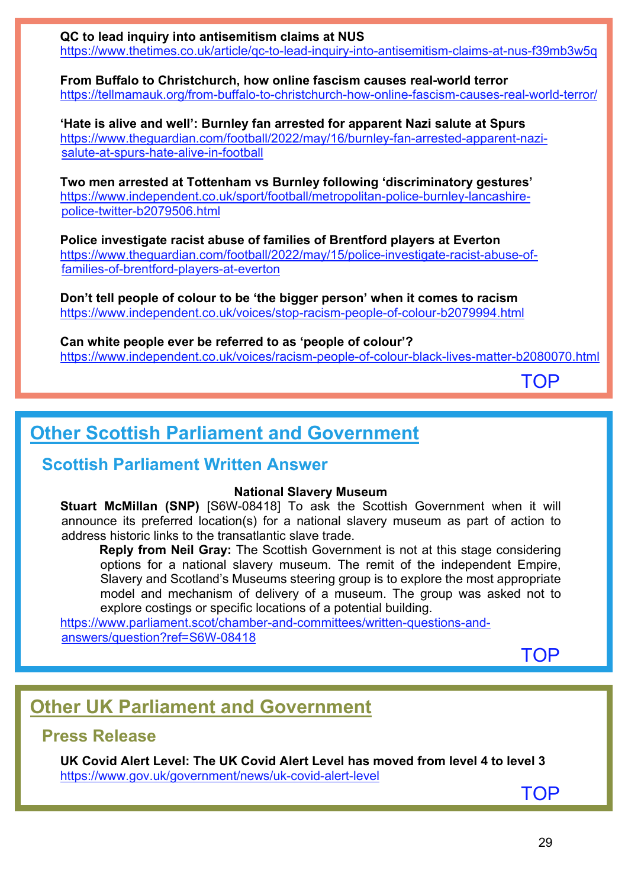**QC to lead inquiry into antisemitism claims at NUS**  <https://www.thetimes.co.uk/article/qc-to-lead-inquiry-into-antisemitism-claims-at-nus-f39mb3w5q>

**From Buffalo to Christchurch, how online fascism causes real-world terror** <https://tellmamauk.org/from-buffalo-to-christchurch-how-online-fascism-causes-real-world-terror/>

**'Hate is alive and well': Burnley fan arrested for apparent Nazi salute at Spurs**  [https://www.theguardian.com/football/2022/may/16/burnley-fan-arrested-apparent-nazi](https://www.theguardian.com/football/2022/may/16/burnley-fan-arrested-apparent-nazi-salute-at-spurs-hate-alive-in-football)[salute-at-spurs-hate-alive-in-football](https://www.theguardian.com/football/2022/may/16/burnley-fan-arrested-apparent-nazi-salute-at-spurs-hate-alive-in-football)

**Two men arrested at Tottenham vs Burnley following 'discriminatory gestures'**  [https://www.independent.co.uk/sport/football/metropolitan-police-burnley-lancashire](https://www.independent.co.uk/sport/football/metropolitan-police-burnley-lancashire-police-twitter-b2079506.html)[police-twitter-b2079506.html](https://www.independent.co.uk/sport/football/metropolitan-police-burnley-lancashire-police-twitter-b2079506.html)

**Police investigate racist abuse of families of Brentford players at Everton**  [https://www.theguardian.com/football/2022/may/15/police-investigate-racist-abuse-of](https://www.theguardian.com/football/2022/may/15/police-investigate-racist-abuse-of-families-of-brentford-players-at-everton)[families-of-brentford-players-at-everton](https://www.theguardian.com/football/2022/may/15/police-investigate-racist-abuse-of-families-of-brentford-players-at-everton)

**Don't tell people of colour to be 'the bigger person' when it comes to racism**  <https://www.independent.co.uk/voices/stop-racism-people-of-colour-b2079994.html>

**Can white people ever be referred to as 'people of colour'?**  <https://www.independent.co.uk/voices/racism-people-of-colour-black-lives-matter-b2080070.html>

**[TOP](#page-0-1)** 

# <span id="page-28-0"></span>**Other Scottish Parliament and Government**

### **Scottish Parliament Written Answer**

### **National Slavery Museum**

**Stuart McMillan (SNP)** [S6W-08418] To ask the Scottish Government when it will announce its preferred location(s) for a national slavery museum as part of action to address historic links to the transatlantic slave trade.

**Reply from Neil Gray:** The Scottish Government is not at this stage considering options for a national slavery museum. The remit of the independent Empire, Slavery and Scotland's Museums steering group is to explore the most appropriate model and mechanism of delivery of a museum. The group was asked not to explore costings or specific locations of a potential building.

[https://www.parliament.scot/chamber-and-committees/written-questions-and](https://www.parliament.scot/chamber-and-committees/written-questions-and-answers/question?ref=S6W-08418)[answers/question?ref=S6W-08418](https://www.parliament.scot/chamber-and-committees/written-questions-and-answers/question?ref=S6W-08418) 

**[TOP](#page-0-1)** 

# <span id="page-28-1"></span>**Other UK Parliament and Government**

### **Press Release**

**UK Covid Alert Level: The UK Covid Alert Level has moved from level 4 to level 3** <https://www.gov.uk/government/news/uk-covid-alert-level>

[TOP](#page-0-1)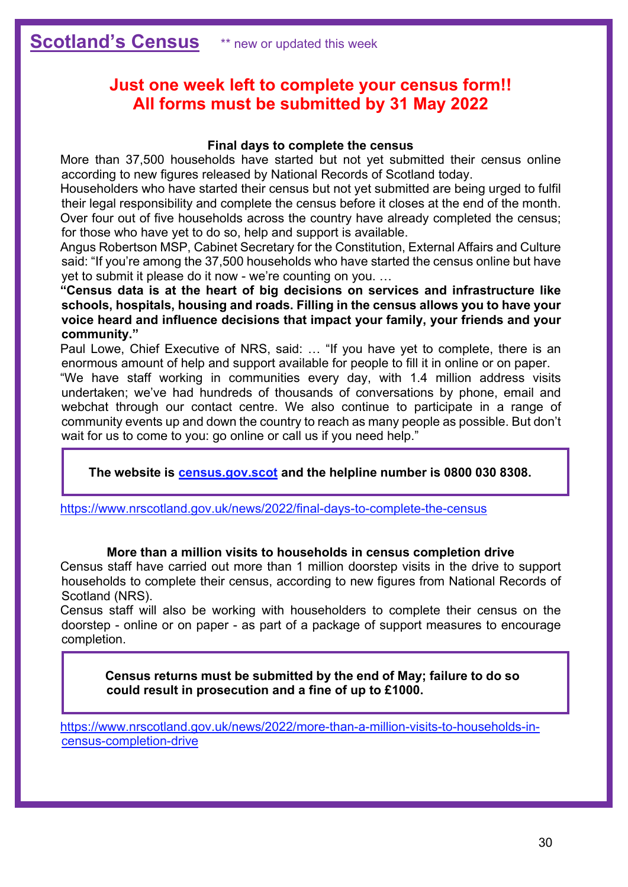### <span id="page-29-0"></span>**Just one week left to complete your census form!! All forms must be submitted by 31 May 2022**

#### **Final days to complete the census**

More than 37,500 households have started but not yet submitted their census online according to new figures released by National Records of Scotland today.

Householders who have started their census but not yet submitted are being urged to fulfil their legal responsibility and complete the census before it closes at the end of the month. Over four out of five households across the country have already completed the census; for those who have yet to do so, help and support is available.

Angus Robertson MSP, Cabinet Secretary for the Constitution, External Affairs and Culture said: "If you're among the 37,500 households who have started the census online but have yet to submit it please do it now - we're counting on you. …

**"Census data is at the heart of big decisions on services and infrastructure like schools, hospitals, housing and roads. Filling in the census allows you to have your voice heard and influence decisions that impact your family, your friends and your community."**

Paul Lowe, Chief Executive of NRS, said: … "If you have yet to complete, there is an enormous amount of help and support available for people to fill it in online or on paper.

"We have staff working in communities every day, with 1.4 million address visits undertaken; we've had hundreds of thousands of conversations by phone, email and webchat through our contact centre. We also continue to participate in a range of community events up and down the country to reach as many people as possible. But don't wait for us to come to you: go online or call us if you need help."

**The website is [census.gov.scot](https://census.gov.scot/) and the helpline number is 0800 030 8308.**

<https://www.nrscotland.gov.uk/news/2022/final-days-to-complete-the-census>

#### **More than a million visits to households in census completion drive**

Census staff have carried out more than 1 million doorstep visits in the drive to support households to complete their census, according to new figures from National Records of Scotland (NRS).

Census staff will also be working with householders to complete their census on the doorstep - online or on paper - as part of a package of support measures to encourage completion.

**Census returns must be submitted by the end of May; failure to do so could result in prosecution and a fine of up to £1000.**

[https://www.nrscotland.gov.uk/news/2022/more-than-a-million-visits-to-households-in](https://www.nrscotland.gov.uk/news/2022/more-than-a-million-visits-to-households-in-census-completion-drive)[census-completion-drive](https://www.nrscotland.gov.uk/news/2022/more-than-a-million-visits-to-households-in-census-completion-drive)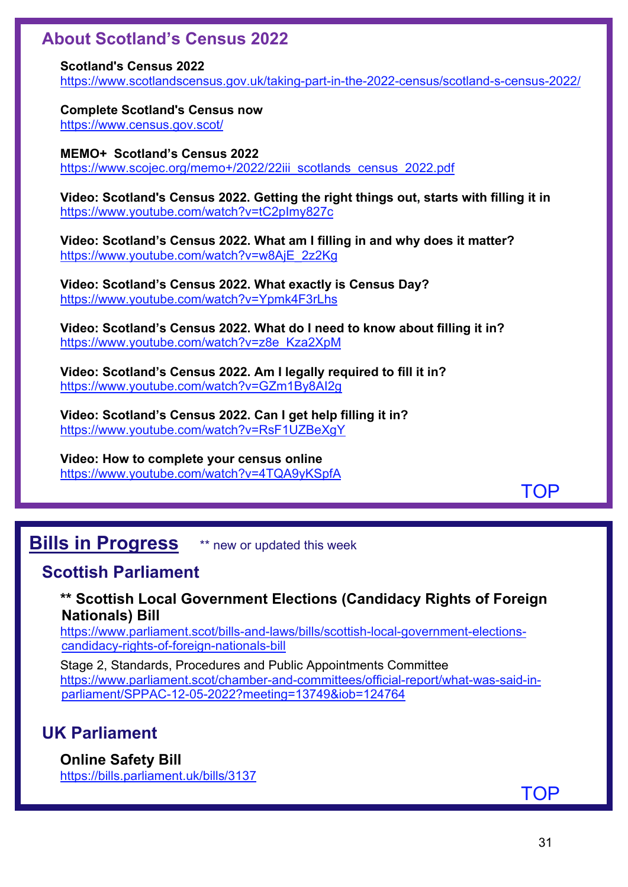### **About Scotland's Census 2022**

**Scotland's Census 2022**

<https://www.scotlandscensus.gov.uk/taking-part-in-the-2022-census/scotland-s-census-2022/>

**Complete Scotland's Census now** <https://www.census.gov.scot/>

**MEMO+ Scotland's Census 2022** https://www.scojec.org/memo+/2022/22iii\_scotlands\_census\_2022.pdf

**Video: Scotland's Census 2022. Getting the right things out, starts with filling it in** <https://www.youtube.com/watch?v=tC2pImy827c>

**Video: Scotland's Census 2022. What am I filling in and why does it matter?** [https://www.youtube.com/watch?v=w8AjE\\_2z2Kg](https://www.youtube.com/watch?v=w8AjE_2z2Kg) 

**Video: Scotland's Census 2022. What exactly is Census Day?** <https://www.youtube.com/watch?v=Ypmk4F3rLhs>

**Video: Scotland's Census 2022. What do I need to know about filling it in?** [https://www.youtube.com/watch?v=z8e\\_Kza2XpM](https://www.youtube.com/watch?v=z8e_Kza2XpM)

**Video: Scotland's Census 2022. Am I legally required to fill it in?** <https://www.youtube.com/watch?v=GZm1By8AI2g>

**Video: Scotland's Census 2022. Can I get help filling it in?** <https://www.youtube.com/watch?v=RsF1UZBeXgY>

**Video: How to complete your census online** <https://www.youtube.com/watch?v=4TQA9yKSpfA>

[TOP](#page-0-1)

# <span id="page-30-0"></span>**Bills in Progress** \*\* new or updated this week

### **Scottish Parliament**

### **\*\* Scottish Local Government Elections (Candidacy Rights of Foreign Nationals) Bill**

[https://www.parliament.scot/bills-and-laws/bills/scottish-local-government-elections](https://www.parliament.scot/bills-and-laws/bills/scottish-local-government-elections-candidacy-rights-of-foreign-nationals-bill)[candidacy-rights-of-foreign-nationals-bill](https://www.parliament.scot/bills-and-laws/bills/scottish-local-government-elections-candidacy-rights-of-foreign-nationals-bill) 

Stage 2, Standards, Procedures and Public Appointments Committee [https://www.parliament.scot/chamber-and-committees/official-report/what-was-said-in](https://www.parliament.scot/chamber-and-committees/official-report/what-was-said-in-parliament/SPPAC-12-05-2022?meeting=13749&iob=124764)[parliament/SPPAC-12-05-2022?meeting=13749&iob=124764](https://www.parliament.scot/chamber-and-committees/official-report/what-was-said-in-parliament/SPPAC-12-05-2022?meeting=13749&iob=124764) 

### **UK Parliament**

### **Online Safety Bill**

<https://bills.parliament.uk/bills/3137>

[TOP](#page-0-1)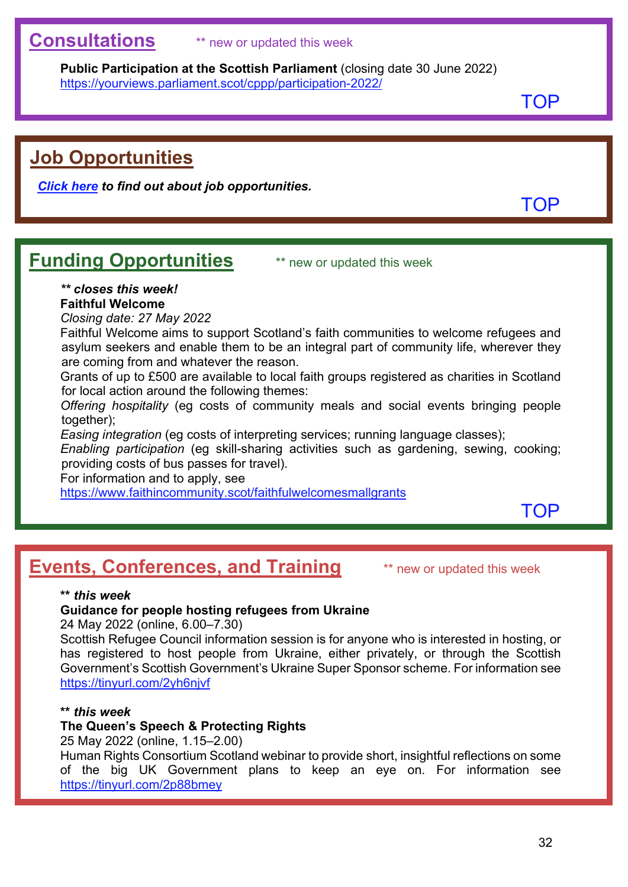## <span id="page-31-0"></span>**Consultations** \*\* new or updated this week

**Public Participation at the Scottish Parliament** (closing date 30 June 2022) <https://yourviews.parliament.scot/cppp/participation-2022/>

**[TOP](#page-0-1)** 

# <span id="page-31-1"></span>**Job Opportunities**

*[Click here](https://www.scojec.org/memo/jobs.html) to find out about job opportunities.*

[TOP](#page-0-1)

# <span id="page-31-2"></span>**Funding Opportunities** \*\* new or updated this week

### *\*\* closes this week!*

### **Faithful Welcome**

*Closing date: 27 May 2022*

Faithful Welcome aims to support Scotland's faith communities to welcome refugees and asylum seekers and enable them to be an integral part of community life, wherever they are coming from and whatever the reason.

Grants of up to £500 are available to local faith groups registered as charities in Scotland for local action around the following themes:

*Offering hospitality* (eg costs of community meals and social events bringing people together);

*Easing integration* (eg costs of interpreting services; running language classes);

*Enabling participation* (eg skill-sharing activities such as gardening, sewing, cooking; providing costs of bus passes for travel).

For information and to apply, see

<https://www.faithincommunity.scot/faithfulwelcomesmallgrants>

[TOP](#page-0-1)

# <span id="page-31-3"></span>**Events, Conferences, and Training** \*\* new or updated this week

### **\*\*** *this week*

### **Guidance for people hosting refugees from Ukraine**

24 May 2022 (online, 6.00–7.30)

Scottish Refugee Council information session is for anyone who is interested in hosting, or has registered to host people from Ukraine, either privately, or through the Scottish Government's Scottish Government's Ukraine Super Sponsor scheme. For information see <https://tinyurl.com/2yh6njvf>

#### **\*\*** *this week*

### **The Queen's Speech & Protecting Rights**

25 May 2022 (online, 1.15–2.00)

Human Rights Consortium Scotland webinar to provide short, insightful reflections on some of the big UK Government plans to keep an eye on. For information see <https://tinyurl.com/2p88bmey>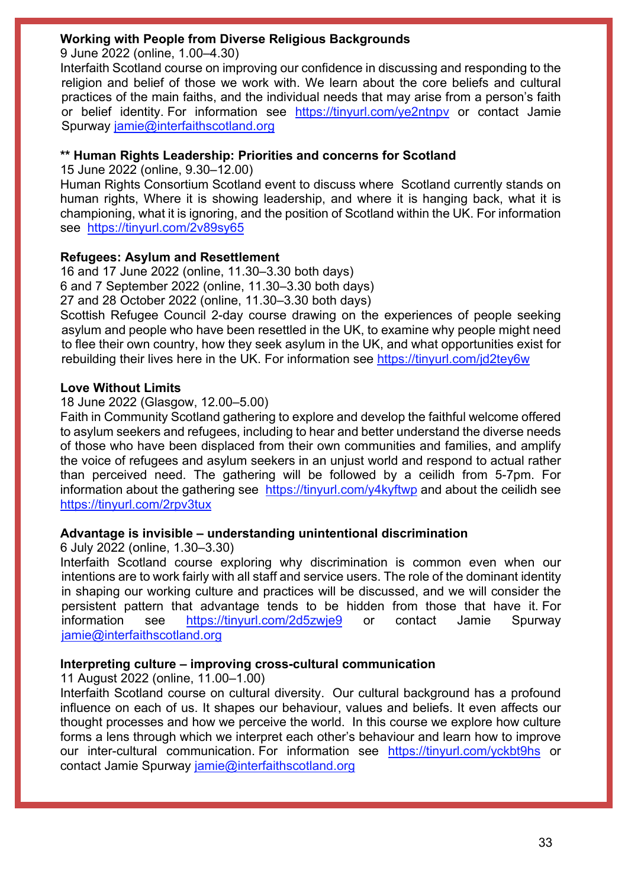### **Working with People from Diverse Religious Backgrounds**

9 June 2022 (online, 1.00–4.30)

Interfaith Scotland course on improving our confidence in discussing and responding to the religion and belief of those we work with. We learn about the core beliefs and cultural practices of the main faiths, and the individual needs that may arise from a person's faith or belief identity. For information see <https://tinyurl.com/ye2ntnpv> or contact Jamie Spurway [jamie@interfaithscotland.org](mailto:jamie@interfaithscotland.org)

### **\*\* Human Rights Leadership: Priorities and concerns for Scotland**

15 June 2022 (online, 9.30–12.00)

Human Rights Consortium Scotland event to discuss where Scotland currently stands on human rights, Where it is showing leadership, and where it is hanging back, what it is championing, what it is ignoring, and the position of Scotland within the UK. For information see <https://tinyurl.com/2v89sy65>

### **Refugees: Asylum and Resettlement**

16 and 17 June 2022 (online, 11.30–3.30 both days) 6 and 7 September 2022 (online, 11.30–3.30 both days) 27 and 28 October 2022 (online, 11.30–3.30 both days) Scottish Refugee Council 2-day course drawing on the experiences of people seeking asylum and people who have been resettled in the UK, to examine why people might need to flee their own country, how they seek asylum in the UK, and what opportunities exist for rebuilding their lives here in the UK. For information see<https://tinyurl.com/jd2tey6w>

### **Love Without Limits**

18 June 2022 (Glasgow, 12.00–5.00)

Faith in Community Scotland gathering to explore and develop the faithful welcome offered to asylum seekers and refugees, including to hear and better understand the diverse needs of those who have been displaced from their own communities and families, and amplify the voice of refugees and asylum seekers in an unjust world and respond to actual rather than perceived need. The gathering will be followed by a ceilidh from 5-7pm. For information about the gathering see <https://tinyurl.com/y4kyftwp> and about the ceilidh see <https://tinyurl.com/2rpv3tux>

### **Advantage is invisible – understanding unintentional discrimination**

6 July 2022 (online, 1.30–3.30)

Interfaith Scotland course exploring why discrimination is common even when our intentions are to work fairly with all staff and service users. The role of the dominant identity in shaping our working culture and practices will be discussed, and we will consider the persistent pattern that advantage tends to be hidden from those that have it. For information see <https://tinyurl.com/2d5zwje9> or contact Jamie Spurway [jamie@interfaithscotland.org](mailto:jamie@interfaithscotland.org)

### **Interpreting culture – improving cross-cultural communication**

11 August 2022 (online, 11.00–1.00)

Interfaith Scotland course on cultural diversity. Our cultural background has a profound influence on each of us. It shapes our behaviour, values and beliefs. It even affects our thought processes and how we perceive the world. In this course we explore how culture forms a lens through which we interpret each other's behaviour and learn how to improve our inter-cultural communication. For information see <https://tinyurl.com/yckbt9hs> or contact Jamie Spurway [jamie@interfaithscotland.org](mailto:jamie@interfaithscotland.org)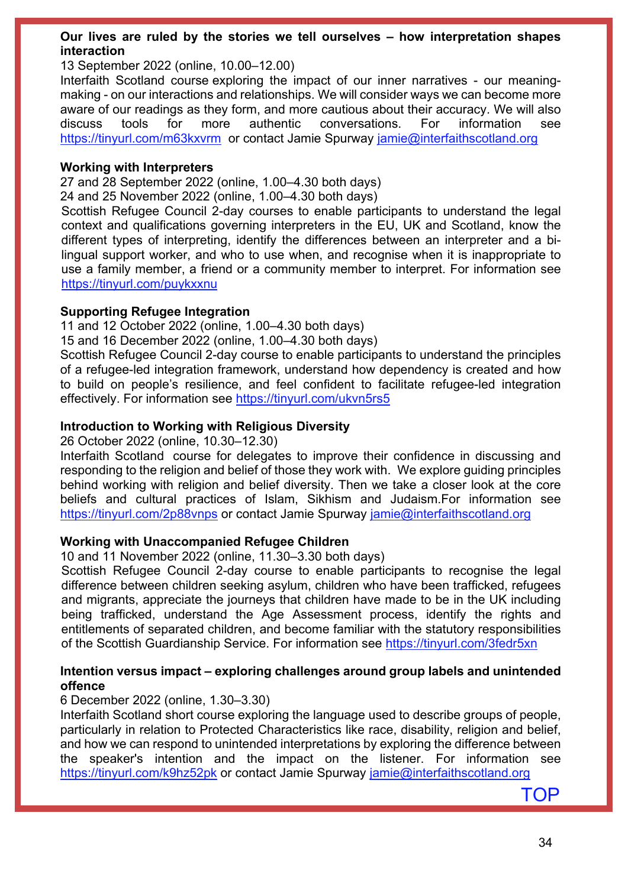#### **Our lives are ruled by the stories we tell ourselves – how interpretation shapes interaction**

#### 13 September 2022 (online, 10.00–12.00)

Interfaith Scotland course exploring the impact of our inner narratives - our meaningmaking - on our interactions and relationships. We will consider ways we can become more aware of our readings as they form, and more cautious about their accuracy. We will also discuss tools for more authentic conversations. For information see <https://tinyurl.com/m63kxvrm>or contact Jamie Spurway [jamie@interfaithscotland.org](mailto:jamie@interfaithscotland.org)

#### **Working with Interpreters**

27 and 28 September 2022 (online, 1.00–4.30 both days)

24 and 25 November 2022 (online, 1.00–4.30 both days)

Scottish Refugee Council 2-day courses to enable participants to understand the legal context and qualifications governing interpreters in the EU, UK and Scotland, know the different types of interpreting, identify the differences between an interpreter and a bilingual support worker, and who to use when, and recognise when it is inappropriate to use a family member, a friend or a community member to interpret. For information see <https://tinyurl.com/puykxxnu>

### **Supporting Refugee Integration**

11 and 12 October 2022 (online, 1.00–4.30 both days)

15 and 16 December 2022 (online, 1.00–4.30 both days)

Scottish Refugee Council 2-day course to enable participants to understand the principles of a refugee-led integration framework, understand how dependency is created and how to build on people's resilience, and feel confident to facilitate refugee-led integration effectively. For information see<https://tinyurl.com/ukvn5rs5>

### **Introduction to Working with Religious Diversity**

26 October 2022 (online, 10.30–12.30)

Interfaith Scotland course for delegates to improve their confidence in discussing and responding to the religion and belief of those they work with. We explore guiding principles behind working with religion and belief diversity. Then we take a closer look at the core beliefs and cultural practices of Islam, Sikhism and Judaism.For information see <https://tinyurl.com/2p88vnps> or contact Jamie Spurway [jamie@interfaithscotland.org](mailto:jamie@interfaithscotland.org)

### **Working with Unaccompanied Refugee Children**

10 and 11 November 2022 (online, 11.30–3.30 both days)

Scottish Refugee Council 2-day course to enable participants to recognise the legal difference between children seeking asylum, children who have been trafficked, refugees and migrants, appreciate the journeys that children have made to be in the UK including being trafficked, understand the Age Assessment process, identify the rights and entitlements of separated children, and become familiar with the statutory responsibilities of the Scottish Guardianship Service. For information see https://tinyurl.com/3fedr5xn

### **Intention versus impact – exploring challenges around group labels and unintended offence**

### 6 December 2022 (online, 1.30–3.30)

Interfaith Scotland short course exploring the language used to describe groups of people, particularly in relation to Protected Characteristics like race, disability, religion and belief, and how we can respond to unintended interpretations by exploring the difference between the speaker's intention and the impact on the listener. For information see <https://tinyurl.com/k9hz52pk> or contact Jamie Spurway [jamie@interfaithscotland.org](mailto:jamie@interfaithscotland.org)

[TOP](#page-0-1)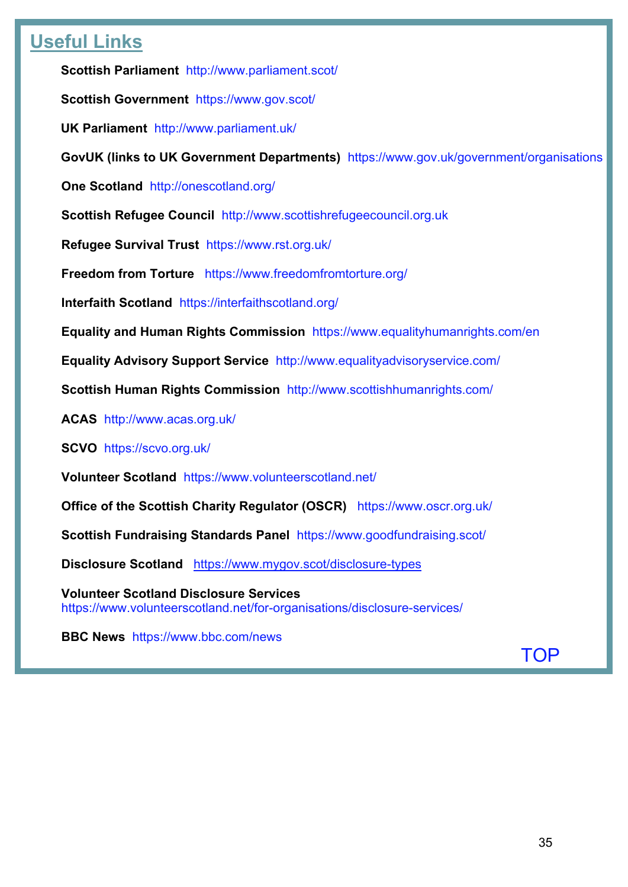# <span id="page-34-0"></span>**Useful Links**

**Scottish Parliament** <http://www.parliament.scot/>

**Scottish Government** <https://www.gov.scot/>

**UK Parliament** <http://www.parliament.uk/>

**GovUK (links to UK Government Departments)** <https://www.gov.uk/government/organisations>

**One Scotland** <http://onescotland.org/>

**Scottish Refugee Council** [http://www.scottishrefugeecouncil.org.uk](http://www.scottishrefugeecouncil.org.uk/) 

**Refugee Survival Trust** <https://www.rst.org.uk/>

**Freedom from Torture** <https://www.freedomfromtorture.org/>

**Interfaith Scotland** <https://interfaithscotland.org/>

**Equality and Human Rights Commission** <https://www.equalityhumanrights.com/en>

**Equality Advisory Support Service** <http://www.equalityadvisoryservice.com/>

**Scottish Human Rights Commission** <http://www.scottishhumanrights.com/>

**ACAS** <http://www.acas.org.uk/>

**SCVO** <https://scvo.org.uk/>

**Volunteer Scotland** <https://www.volunteerscotland.net/>

**Office of the Scottish Charity Regulator (OSCR)** <https://www.oscr.org.uk/>

**Scottish Fundraising Standards Panel** <https://www.goodfundraising.scot/>

**Disclosure Scotland** <https://www.mygov.scot/disclosure-types>

**Volunteer Scotland Disclosure Services**  <https://www.volunteerscotland.net/for-organisations/disclosure-services/>

**BBC News** <https://www.bbc.com/news>

[TOP](#page-0-1)